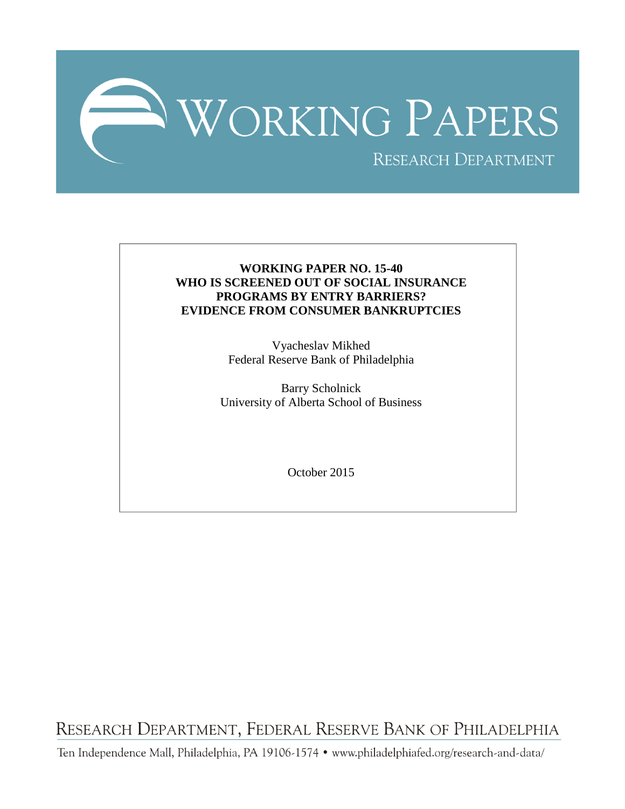

# **WORKING PAPER NO. 15-40 WHO IS SCREENED OUT OF SOCIAL INSURANCE PROGRAMS BY ENTRY BARRIERS? EVIDENCE FROM CONSUMER BANKRUPTCIES**

Vyacheslav Mikhed Federal Reserve Bank of Philadelphia

Barry Scholnick University of Alberta School of Business

October 2015

RESEARCH DEPARTMENT, FEDERAL RESERVE BANK OF PHILADELPHIA

Ten Independence Mall, Philadelphia, PA 19106-1574 · www.philadelphiafed.org/research-and-data/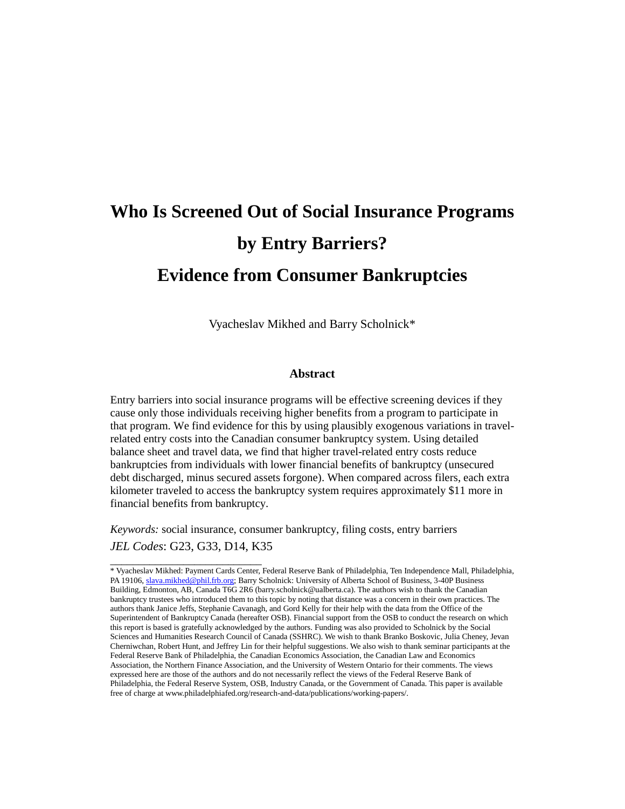# **Who Is Screened Out of Social Insurance Programs by Entry Barriers? Evidence from Consumer Bankruptcies**

Vyacheslav Mikhed and Barry Scholnick\*

# **Abstract**

Entry barriers into social insurance programs will be effective screening devices if they cause only those individuals receiving higher benefits from a program to participate in that program. We find evidence for this by using plausibly exogenous variations in travelrelated entry costs into the Canadian consumer bankruptcy system. Using detailed balance sheet and travel data, we find that higher travel-related entry costs reduce bankruptcies from individuals with lower financial benefits of bankruptcy (unsecured debt discharged, minus secured assets forgone). When compared across filers, each extra kilometer traveled to access the bankruptcy system requires approximately \$11 more in financial benefits from bankruptcy.

*Keywords:* social insurance, consumer bankruptcy, filing costs, entry barriers *JEL Codes*: G23, G33, D14, K35

\_\_\_\_\_\_\_\_\_\_\_\_\_\_\_\_\_\_\_\_\_\_\_\_\_\_\_

<sup>\*</sup> Vyacheslav Mikhed: Payment Cards Center, Federal Reserve Bank of Philadelphia, Ten Independence Mall, Philadelphia, PA 19106[, slava.mikhed@phil.frb.org;](mailto:slava.mikhed@phil.frb.org) Barry Scholnick: University of Alberta School of Business, 3-40P Business Building, Edmonton, AB, Canada T6G 2R6 [\(barry.scholnick@ualberta.ca\)](mailto:barry.scholnick@ualberta.ca). The authors wish to thank the Canadian bankruptcy trustees who introduced them to this topic by noting that distance was a concern in their own practices. The authors thank Janice Jeffs, Stephanie Cavanagh, and Gord Kelly for their help with the data from the Office of the Superintendent of Bankruptcy Canada (hereafter OSB). Financial support from the OSB to conduct the research on which this report is based is gratefully acknowledged by the authors. Funding was also provided to Scholnick by the Social Sciences and Humanities Research Council of Canada (SSHRC). We wish to thank Branko Boskovic, Julia Cheney, Jevan Cherniwchan, Robert Hunt, and Jeffrey Lin for their helpful suggestions. We also wish to thank seminar participants at the Federal Reserve Bank of Philadelphia, the Canadian Economics Association, the Canadian Law and Economics Association, the Northern Finance Association, and the University of Western Ontario for their comments. The views expressed here are those of the authors and do not necessarily reflect the views of the Federal Reserve Bank of Philadelphia, the Federal Reserve System, OSB, Industry Canada, or the Government of Canada. This paper is available free of charge at www.philadelphiafed.org/research-and-data/publications/working-papers/.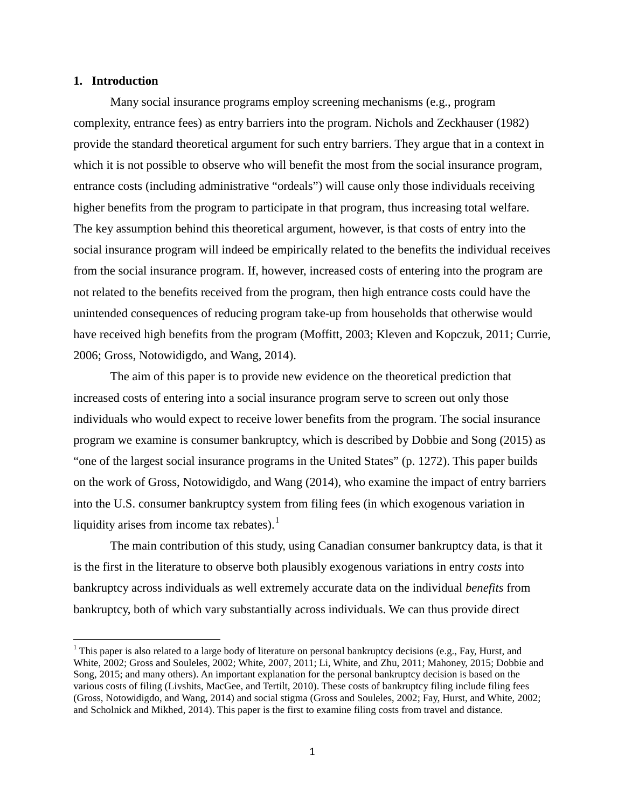# **1. Introduction**

Many social insurance programs employ screening mechanisms (e.g., program complexity, entrance fees) as entry barriers into the program. Nichols and Zeckhauser (1982) provide the standard theoretical argument for such entry barriers. They argue that in a context in which it is not possible to observe who will benefit the most from the social insurance program, entrance costs (including administrative "ordeals") will cause only those individuals receiving higher benefits from the program to participate in that program, thus increasing total welfare. The key assumption behind this theoretical argument, however, is that costs of entry into the social insurance program will indeed be empirically related to the benefits the individual receives from the social insurance program. If, however, increased costs of entering into the program are not related to the benefits received from the program, then high entrance costs could have the unintended consequences of reducing program take-up from households that otherwise would have received high benefits from the program (Moffitt, 2003; Kleven and Kopczuk, 2011; Currie, 2006; Gross, Notowidigdo, and Wang, 2014).

The aim of this paper is to provide new evidence on the theoretical prediction that increased costs of entering into a social insurance program serve to screen out only those individuals who would expect to receive lower benefits from the program. The social insurance program we examine is consumer bankruptcy, which is described by Dobbie and Song (2015) as "one of the largest social insurance programs in the United States" (p. 1272). This paper builds on the work of Gross, Notowidigdo, and Wang (2014), who examine the impact of entry barriers into the U.S. consumer bankruptcy system from filing fees (in which exogenous variation in liquidity arises from income tax rebates). $<sup>1</sup>$  $<sup>1</sup>$  $<sup>1</sup>$ </sup>

The main contribution of this study, using Canadian consumer bankruptcy data, is that it is the first in the literature to observe both plausibly exogenous variations in entry *costs* into bankruptcy across individuals as well extremely accurate data on the individual *benefits* from bankruptcy, both of which vary substantially across individuals. We can thus provide direct

<span id="page-2-0"></span><sup>&</sup>lt;sup>1</sup> This paper is also related to a large body of literature on personal bankruptcy decisions (e.g., Fay, Hurst, and White, 2002; Gross and Souleles, 2002; White, 2007, 2011; Li, White, and Zhu, 2011; Mahoney, 2015; Dobbie and Song, 2015; and many others). An important explanation for the personal bankruptcy decision is based on the various costs of filing (Livshits, MacGee, and Tertilt, 2010). These costs of bankruptcy filing include filing fees (Gross, Notowidigdo, and Wang, 2014) and social stigma (Gross and Souleles, 2002; Fay, Hurst, and White, 2002; and Scholnick and Mikhed, 2014). This paper is the first to examine filing costs from travel and distance.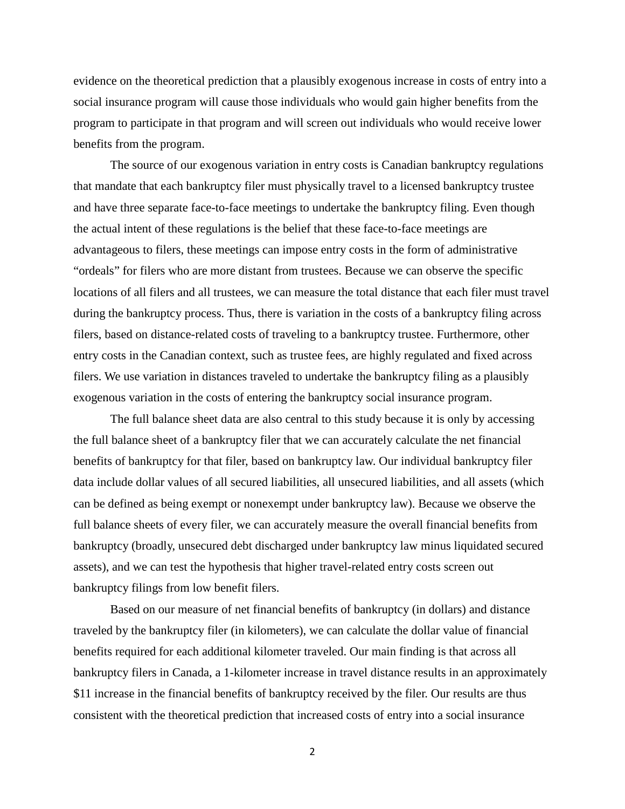evidence on the theoretical prediction that a plausibly exogenous increase in costs of entry into a social insurance program will cause those individuals who would gain higher benefits from the program to participate in that program and will screen out individuals who would receive lower benefits from the program.

The source of our exogenous variation in entry costs is Canadian bankruptcy regulations that mandate that each bankruptcy filer must physically travel to a licensed bankruptcy trustee and have three separate face-to-face meetings to undertake the bankruptcy filing. Even though the actual intent of these regulations is the belief that these face-to-face meetings are advantageous to filers, these meetings can impose entry costs in the form of administrative "ordeals" for filers who are more distant from trustees. Because we can observe the specific locations of all filers and all trustees, we can measure the total distance that each filer must travel during the bankruptcy process. Thus, there is variation in the costs of a bankruptcy filing across filers, based on distance-related costs of traveling to a bankruptcy trustee. Furthermore, other entry costs in the Canadian context, such as trustee fees, are highly regulated and fixed across filers. We use variation in distances traveled to undertake the bankruptcy filing as a plausibly exogenous variation in the costs of entering the bankruptcy social insurance program.

The full balance sheet data are also central to this study because it is only by accessing the full balance sheet of a bankruptcy filer that we can accurately calculate the net financial benefits of bankruptcy for that filer, based on bankruptcy law. Our individual bankruptcy filer data include dollar values of all secured liabilities, all unsecured liabilities, and all assets (which can be defined as being exempt or nonexempt under bankruptcy law). Because we observe the full balance sheets of every filer, we can accurately measure the overall financial benefits from bankruptcy (broadly, unsecured debt discharged under bankruptcy law minus liquidated secured assets), and we can test the hypothesis that higher travel-related entry costs screen out bankruptcy filings from low benefit filers.

Based on our measure of net financial benefits of bankruptcy (in dollars) and distance traveled by the bankruptcy filer (in kilometers), we can calculate the dollar value of financial benefits required for each additional kilometer traveled. Our main finding is that across all bankruptcy filers in Canada, a 1-kilometer increase in travel distance results in an approximately \$11 increase in the financial benefits of bankruptcy received by the filer. Our results are thus consistent with the theoretical prediction that increased costs of entry into a social insurance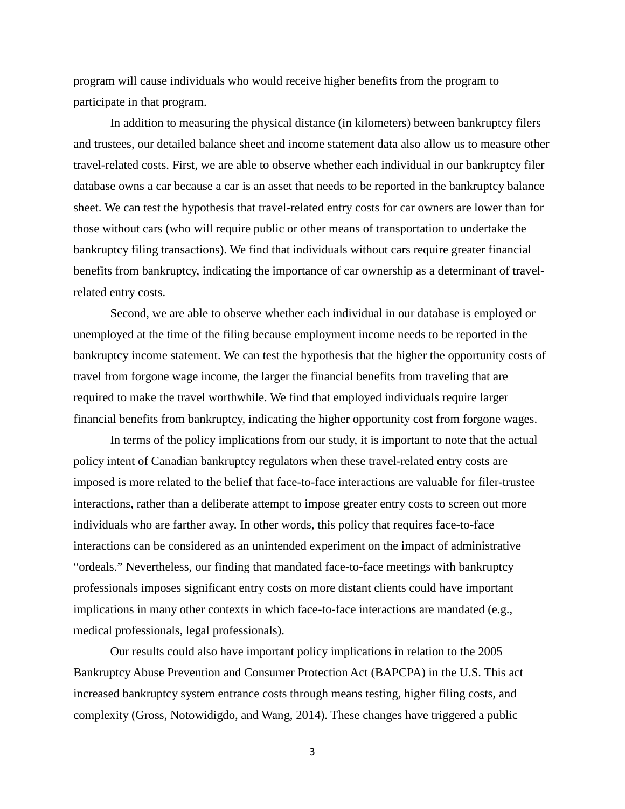program will cause individuals who would receive higher benefits from the program to participate in that program.

In addition to measuring the physical distance (in kilometers) between bankruptcy filers and trustees, our detailed balance sheet and income statement data also allow us to measure other travel-related costs. First, we are able to observe whether each individual in our bankruptcy filer database owns a car because a car is an asset that needs to be reported in the bankruptcy balance sheet. We can test the hypothesis that travel-related entry costs for car owners are lower than for those without cars (who will require public or other means of transportation to undertake the bankruptcy filing transactions). We find that individuals without cars require greater financial benefits from bankruptcy, indicating the importance of car ownership as a determinant of travelrelated entry costs.

Second, we are able to observe whether each individual in our database is employed or unemployed at the time of the filing because employment income needs to be reported in the bankruptcy income statement. We can test the hypothesis that the higher the opportunity costs of travel from forgone wage income, the larger the financial benefits from traveling that are required to make the travel worthwhile. We find that employed individuals require larger financial benefits from bankruptcy, indicating the higher opportunity cost from forgone wages.

In terms of the policy implications from our study, it is important to note that the actual policy intent of Canadian bankruptcy regulators when these travel-related entry costs are imposed is more related to the belief that face-to-face interactions are valuable for filer-trustee interactions, rather than a deliberate attempt to impose greater entry costs to screen out more individuals who are farther away. In other words, this policy that requires face-to-face interactions can be considered as an unintended experiment on the impact of administrative "ordeals." Nevertheless, our finding that mandated face-to-face meetings with bankruptcy professionals imposes significant entry costs on more distant clients could have important implications in many other contexts in which face-to-face interactions are mandated (e.g., medical professionals, legal professionals).

Our results could also have important policy implications in relation to the 2005 Bankruptcy Abuse Prevention and Consumer Protection Act (BAPCPA) in the U.S. This act increased bankruptcy system entrance costs through means testing, higher filing costs, and complexity (Gross, Notowidigdo, and Wang, 2014). These changes have triggered a public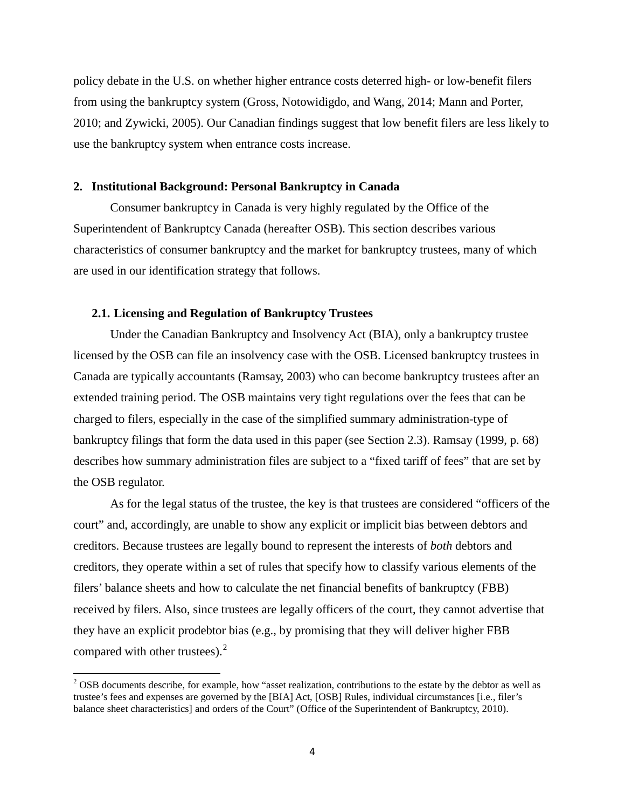policy debate in the U.S. on whether higher entrance costs deterred high- or low-benefit filers from using the bankruptcy system (Gross, Notowidigdo, and Wang, 2014; Mann and Porter, 2010; and Zywicki, 2005). Our Canadian findings suggest that low benefit filers are less likely to use the bankruptcy system when entrance costs increase.

# **2. Institutional Background: Personal Bankruptcy in Canada**

Consumer bankruptcy in Canada is very highly regulated by the Office of the Superintendent of Bankruptcy Canada (hereafter OSB). This section describes various characteristics of consumer bankruptcy and the market for bankruptcy trustees, many of which are used in our identification strategy that follows.

#### **2.1. Licensing and Regulation of Bankruptcy Trustees**

Under the Canadian Bankruptcy and Insolvency Act (BIA), only a bankruptcy trustee licensed by the OSB can file an insolvency case with the OSB. Licensed bankruptcy trustees in Canada are typically accountants (Ramsay, 2003) who can become bankruptcy trustees after an extended training period. The OSB maintains very tight regulations over the fees that can be charged to filers, especially in the case of the simplified summary administration-type of bankruptcy filings that form the data used in this paper (see Section 2.3). Ramsay (1999, p. 68) describes how summary administration files are subject to a "fixed tariff of fees" that are set by the OSB regulator.

As for the legal status of the trustee, the key is that trustees are considered "officers of the court" and, accordingly, are unable to show any explicit or implicit bias between debtors and creditors. Because trustees are legally bound to represent the interests of *both* debtors and creditors, they operate within a set of rules that specify how to classify various elements of the filers' balance sheets and how to calculate the net financial benefits of bankruptcy (FBB) received by filers. Also, since trustees are legally officers of the court, they cannot advertise that they have an explicit prodebtor bias (e.g., by promising that they will deliver higher FBB compared with other trustees).<sup>[2](#page-5-0)</sup>

<span id="page-5-0"></span><sup>&</sup>lt;sup>2</sup> OSB documents describe, for example, how "asset realization, contributions to the estate by the debtor as well as trustee's fees and expenses are governed by the [BIA] Act, [OSB] Rules, individual circumstances [i.e., filer's balance sheet characteristics] and orders of the Court" (Office of the Superintendent of Bankruptcy, 2010).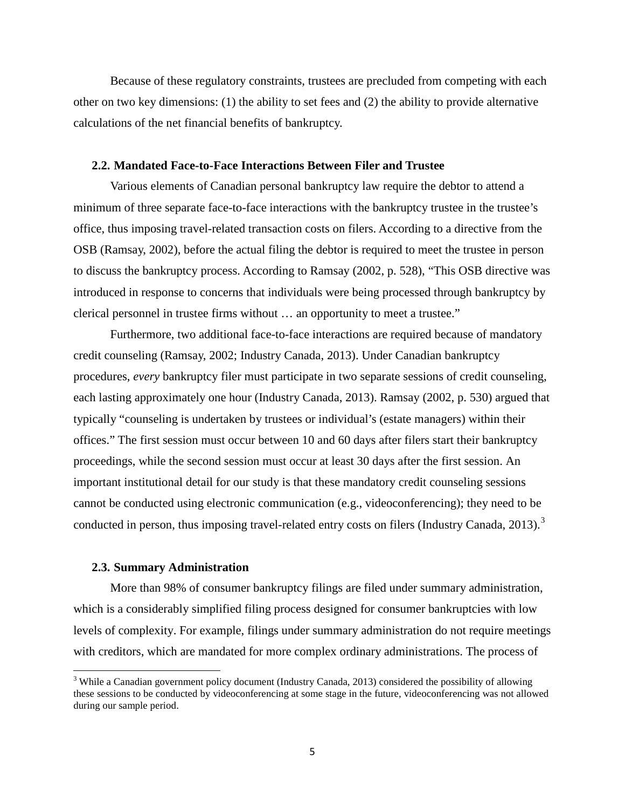Because of these regulatory constraints, trustees are precluded from competing with each other on two key dimensions: (1) the ability to set fees and (2) the ability to provide alternative calculations of the net financial benefits of bankruptcy.

# **2.2. Mandated Face-to-Face Interactions Between Filer and Trustee**

Various elements of Canadian personal bankruptcy law require the debtor to attend a minimum of three separate face-to-face interactions with the bankruptcy trustee in the trustee's office, thus imposing travel-related transaction costs on filers. According to a directive from the OSB (Ramsay, 2002), before the actual filing the debtor is required to meet the trustee in person to discuss the bankruptcy process. According to Ramsay (2002, p. 528), "This OSB directive was introduced in response to concerns that individuals were being processed through bankruptcy by clerical personnel in trustee firms without … an opportunity to meet a trustee."

Furthermore, two additional face-to-face interactions are required because of mandatory credit counseling (Ramsay, 2002; Industry Canada, 2013). Under Canadian bankruptcy procedures, *every* bankruptcy filer must participate in two separate sessions of credit counseling, each lasting approximately one hour (Industry Canada, 2013). Ramsay (2002, p. 530) argued that typically "counseling is undertaken by trustees or individual's (estate managers) within their offices." The first session must occur between 10 and 60 days after filers start their bankruptcy proceedings, while the second session must occur at least 30 days after the first session. An important institutional detail for our study is that these mandatory credit counseling sessions cannot be conducted using electronic communication (e.g., videoconferencing); they need to be conducted in person, thus imposing travel-related entry costs on filers (Industry Canada, 201[3](#page-6-0)).<sup>3</sup>

# **2.3. Summary Administration**

More than 98% of consumer bankruptcy filings are filed under summary administration, which is a considerably simplified filing process designed for consumer bankruptcies with low levels of complexity. For example, filings under summary administration do not require meetings with creditors, which are mandated for more complex ordinary administrations. The process of

<span id="page-6-0"></span><sup>&</sup>lt;sup>3</sup> While a Canadian government policy document (Industry Canada, 2013) considered the possibility of allowing these sessions to be conducted by videoconferencing at some stage in the future, videoconferencing was not allowed during our sample period.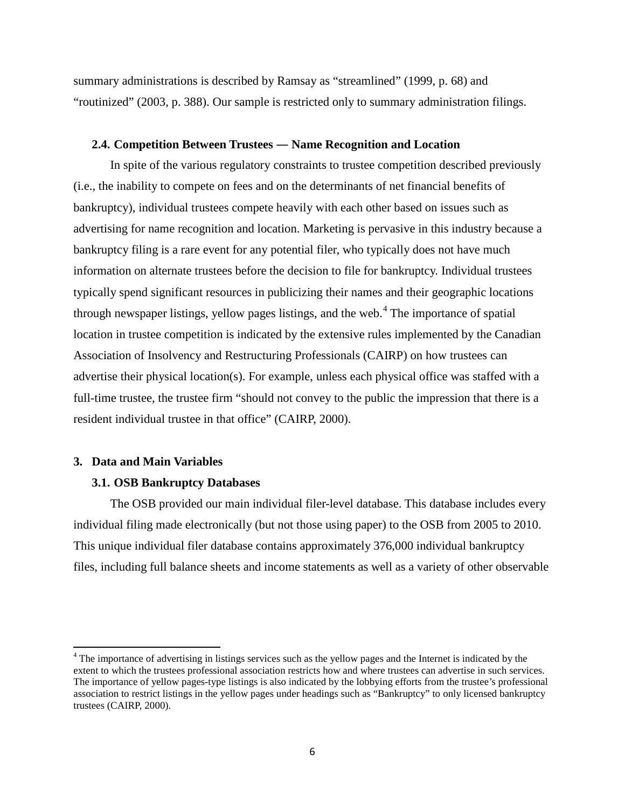summary administrations is described by Ramsay as "streamlined" (1999, p. 68) and "routinized" (2003, p. 388). Our sample is restricted only to summary administration filings.

## **2.4. Competition Between Trustees ― Name Recognition and Location**

In spite of the various regulatory constraints to trustee competition described previously (i.e., the inability to compete on fees and on the determinants of net financial benefits of bankruptcy), individual trustees compete heavily with each other based on issues such as advertising for name recognition and location. Marketing is pervasive in this industry because a bankruptcy filing is a rare event for any potential filer, who typically does not have much information on alternate trustees before the decision to file for bankruptcy. Individual trustees typically spend significant resources in publicizing their names and their geographic locations through newspaper listings, yellow pages listings, and the web.<sup>[4](#page-7-0)</sup> The importance of spatial location in trustee competition is indicated by the extensive rules implemented by the Canadian Association of Insolvency and Restructuring Professionals (CAIRP) on how trustees can advertise their physical location(s). For example, unless each physical office was staffed with a full-time trustee, the trustee firm "should not convey to the public the impression that there is a resident individual trustee in that office" (CAIRP, 2000).

# **3. Data and Main Variables**

# **3.1. OSB Bankruptcy Databases**

The OSB provided our main individual filer-level database. This database includes every individual filing made electronically (but not those using paper) to the OSB from 2005 to 2010. This unique individual filer database contains approximately 376,000 individual bankruptcy files, including full balance sheets and income statements as well as a variety of other observable

<span id="page-7-0"></span><sup>&</sup>lt;sup>4</sup> The importance of advertising in listings services such as the yellow pages and the Internet is indicated by the extent to which the trustees professional association restricts how and where trustees can advertise in such services. The importance of yellow pages-type listings is also indicated by the lobbying efforts from the trustee's professional association to restrict listings in the yellow pages under headings such as "Bankruptcy" to only licensed bankruptcy trustees (CAIRP, 2000).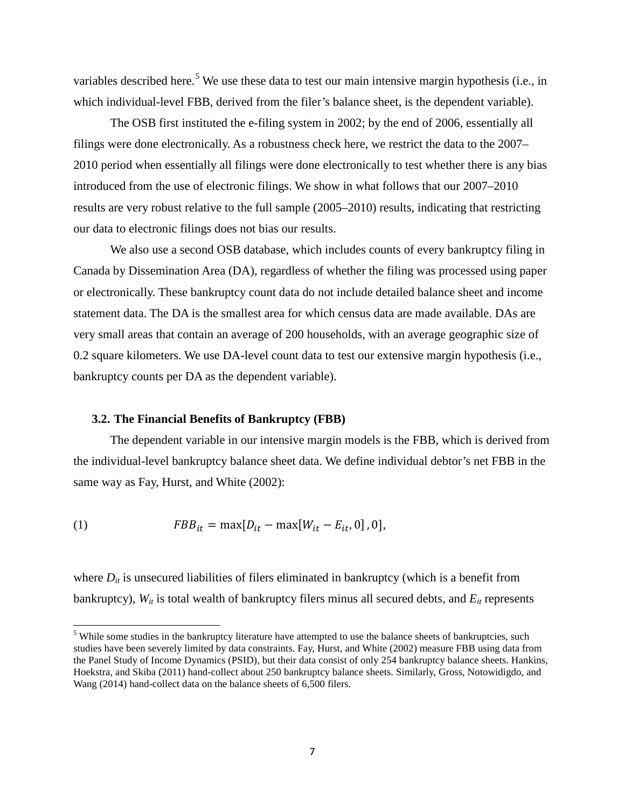variables described here.<sup>[5](#page-8-0)</sup> We use these data to test our main intensive margin hypothesis (i.e., in which individual-level FBB, derived from the filer's balance sheet, is the dependent variable).

The OSB first instituted the e-filing system in 2002; by the end of 2006, essentially all filings were done electronically. As a robustness check here, we restrict the data to the 2007– 2010 period when essentially all filings were done electronically to test whether there is any bias introduced from the use of electronic filings. We show in what follows that our 2007–2010 results are very robust relative to the full sample (2005–2010) results, indicating that restricting our data to electronic filings does not bias our results.

We also use a second OSB database, which includes counts of every bankruptcy filing in Canada by Dissemination Area (DA), regardless of whether the filing was processed using paper or electronically. These bankruptcy count data do not include detailed balance sheet and income statement data. The DA is the smallest area for which census data are made available. DAs are very small areas that contain an average of 200 households, with an average geographic size of 0.2 square kilometers. We use DA-level count data to test our extensive margin hypothesis (i.e., bankruptcy counts per DA as the dependent variable).

## **3.2. The Financial Benefits of Bankruptcy (FBB)**

The dependent variable in our intensive margin models is the FBB, which is derived from the individual-level bankruptcy balance sheet data. We define individual debtor's net FBB in the same way as Fay, Hurst, and White (2002):

(1) 
$$
FBB_{it} = \max[D_{it} - \max[W_{it} - E_{it}, 0], 0],
$$

where  $D_{it}$  is unsecured liabilities of filers eliminated in bankruptcy (which is a benefit from bankruptcy),  $W_{it}$  is total wealth of bankruptcy filers minus all secured debts, and  $E_{it}$  represents

<span id="page-8-0"></span><sup>&</sup>lt;sup>5</sup> While some studies in the bankruptcy literature have attempted to use the balance sheets of bankruptcies, such studies have been severely limited by data constraints. Fay, Hurst, and White (2002) measure FBB using data from the Panel Study of Income Dynamics (PSID), but their data consist of only 254 bankruptcy balance sheets. Hankins, Hoekstra, and Skiba (2011) hand-collect about 250 bankruptcy balance sheets. Similarly, Gross, Notowidigdo, and Wang (2014) hand-collect data on the balance sheets of 6,500 filers.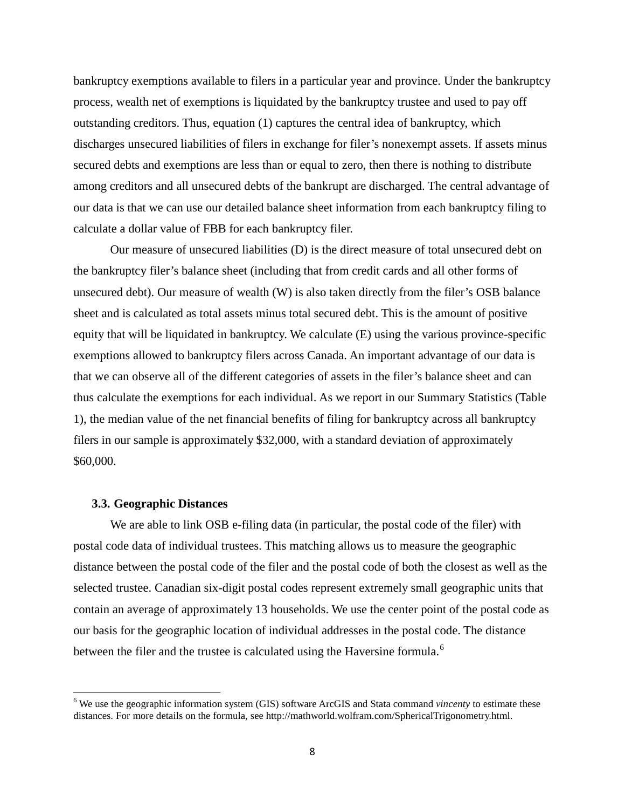bankruptcy exemptions available to filers in a particular year and province. Under the bankruptcy process, wealth net of exemptions is liquidated by the bankruptcy trustee and used to pay off outstanding creditors. Thus, equation (1) captures the central idea of bankruptcy, which discharges unsecured liabilities of filers in exchange for filer's nonexempt assets. If assets minus secured debts and exemptions are less than or equal to zero, then there is nothing to distribute among creditors and all unsecured debts of the bankrupt are discharged. The central advantage of our data is that we can use our detailed balance sheet information from each bankruptcy filing to calculate a dollar value of FBB for each bankruptcy filer.

Our measure of unsecured liabilities (D) is the direct measure of total unsecured debt on the bankruptcy filer's balance sheet (including that from credit cards and all other forms of unsecured debt). Our measure of wealth (W) is also taken directly from the filer's OSB balance sheet and is calculated as total assets minus total secured debt. This is the amount of positive equity that will be liquidated in bankruptcy. We calculate (E) using the various province-specific exemptions allowed to bankruptcy filers across Canada. An important advantage of our data is that we can observe all of the different categories of assets in the filer's balance sheet and can thus calculate the exemptions for each individual. As we report in our Summary Statistics (Table 1), the median value of the net financial benefits of filing for bankruptcy across all bankruptcy filers in our sample is approximately \$32,000, with a standard deviation of approximately \$60,000.

#### **3.3. Geographic Distances**

We are able to link OSB e-filing data (in particular, the postal code of the filer) with postal code data of individual trustees. This matching allows us to measure the geographic distance between the postal code of the filer and the postal code of both the closest as well as the selected trustee. Canadian six-digit postal codes represent extremely small geographic units that contain an average of approximately 13 households. We use the center point of the postal code as our basis for the geographic location of individual addresses in the postal code. The distance between the filer and the trustee is calculated using the Haversine formula.<sup>[6](#page-9-0)</sup>

<span id="page-9-0"></span><sup>6</sup> We use the geographic information system (GIS) software ArcGIS and Stata command *vincenty* to estimate these distances. For more details on the formula, see http://mathworld.wolfram.com/SphericalTrigonometry.html.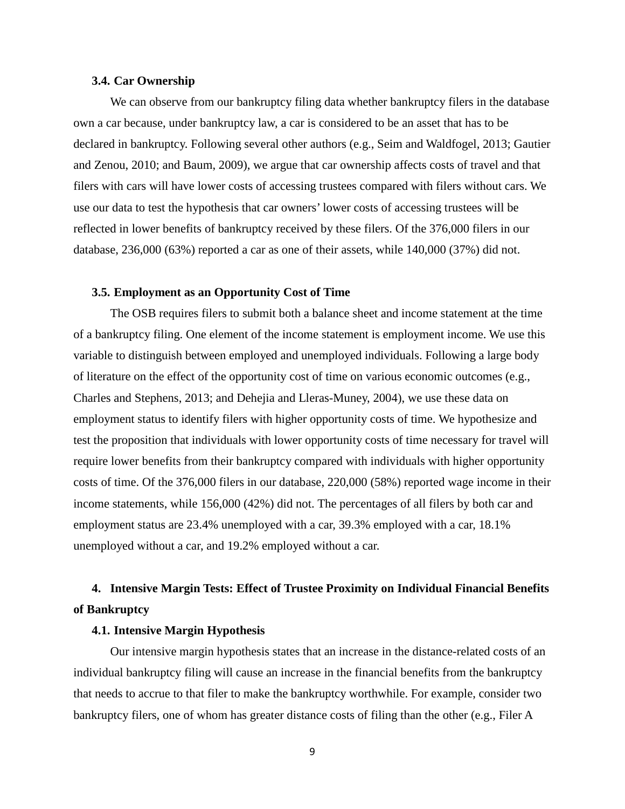#### **3.4. Car Ownership**

We can observe from our bankruptcy filing data whether bankruptcy filers in the database own a car because, under bankruptcy law, a car is considered to be an asset that has to be declared in bankruptcy. Following several other authors (e.g., Seim and Waldfogel, 2013; Gautier and Zenou, 2010; and Baum, 2009), we argue that car ownership affects costs of travel and that filers with cars will have lower costs of accessing trustees compared with filers without cars. We use our data to test the hypothesis that car owners' lower costs of accessing trustees will be reflected in lower benefits of bankruptcy received by these filers. Of the 376,000 filers in our database, 236,000 (63%) reported a car as one of their assets, while 140,000 (37%) did not.

# **3.5. Employment as an Opportunity Cost of Time**

The OSB requires filers to submit both a balance sheet and income statement at the time of a bankruptcy filing. One element of the income statement is employment income. We use this variable to distinguish between employed and unemployed individuals. Following a large body of literature on the effect of the opportunity cost of time on various economic outcomes (e.g., Charles and Stephens, 2013; and Dehejia and Lleras-Muney, 2004), we use these data on employment status to identify filers with higher opportunity costs of time. We hypothesize and test the proposition that individuals with lower opportunity costs of time necessary for travel will require lower benefits from their bankruptcy compared with individuals with higher opportunity costs of time. Of the 376,000 filers in our database, 220,000 (58%) reported wage income in their income statements, while 156,000 (42%) did not. The percentages of all filers by both car and employment status are 23.4% unemployed with a car, 39.3% employed with a car, 18.1% unemployed without a car, and 19.2% employed without a car.

# **4. Intensive Margin Tests: Effect of Trustee Proximity on Individual Financial Benefits of Bankruptcy**

# **4.1. Intensive Margin Hypothesis**

Our intensive margin hypothesis states that an increase in the distance-related costs of an individual bankruptcy filing will cause an increase in the financial benefits from the bankruptcy that needs to accrue to that filer to make the bankruptcy worthwhile. For example, consider two bankruptcy filers, one of whom has greater distance costs of filing than the other (e.g., Filer A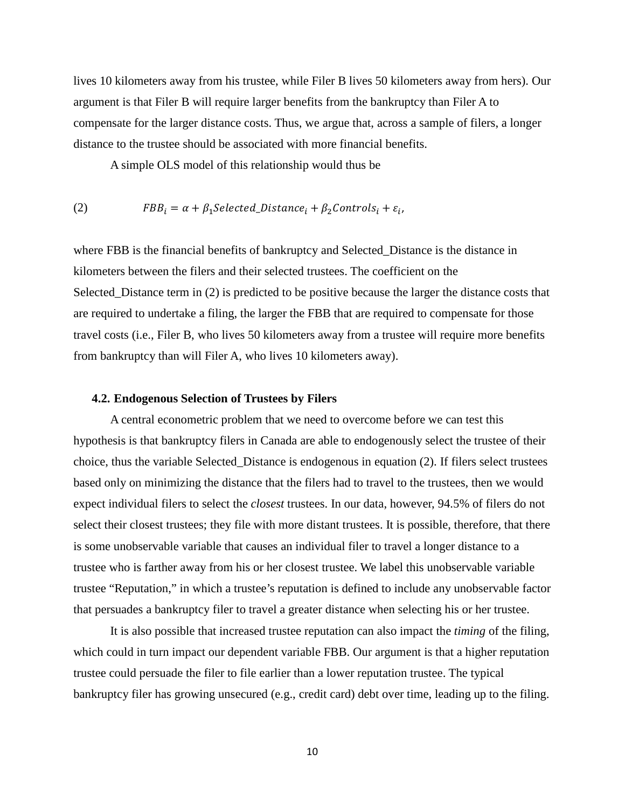lives 10 kilometers away from his trustee, while Filer B lives 50 kilometers away from hers). Our argument is that Filer B will require larger benefits from the bankruptcy than Filer A to compensate for the larger distance costs. Thus, we argue that, across a sample of filers, a longer distance to the trustee should be associated with more financial benefits.

A simple OLS model of this relationship would thus be

(2) 
$$
FBB_i = \alpha + \beta_1 Selected\_Distance_i + \beta_2 controls_i + \varepsilon_i,
$$

where FBB is the financial benefits of bankruptcy and Selected\_Distance is the distance in kilometers between the filers and their selected trustees. The coefficient on the Selected Distance term in (2) is predicted to be positive because the larger the distance costs that are required to undertake a filing, the larger the FBB that are required to compensate for those travel costs (i.e., Filer B, who lives 50 kilometers away from a trustee will require more benefits from bankruptcy than will Filer A, who lives 10 kilometers away).

# **4.2. Endogenous Selection of Trustees by Filers**

A central econometric problem that we need to overcome before we can test this hypothesis is that bankruptcy filers in Canada are able to endogenously select the trustee of their choice, thus the variable Selected\_Distance is endogenous in equation (2). If filers select trustees based only on minimizing the distance that the filers had to travel to the trustees, then we would expect individual filers to select the *closest* trustees. In our data, however, 94.5% of filers do not select their closest trustees; they file with more distant trustees. It is possible, therefore, that there is some unobservable variable that causes an individual filer to travel a longer distance to a trustee who is farther away from his or her closest trustee. We label this unobservable variable trustee "Reputation," in which a trustee's reputation is defined to include any unobservable factor that persuades a bankruptcy filer to travel a greater distance when selecting his or her trustee.

It is also possible that increased trustee reputation can also impact the *timing* of the filing, which could in turn impact our dependent variable FBB. Our argument is that a higher reputation trustee could persuade the filer to file earlier than a lower reputation trustee. The typical bankruptcy filer has growing unsecured (e.g., credit card) debt over time, leading up to the filing.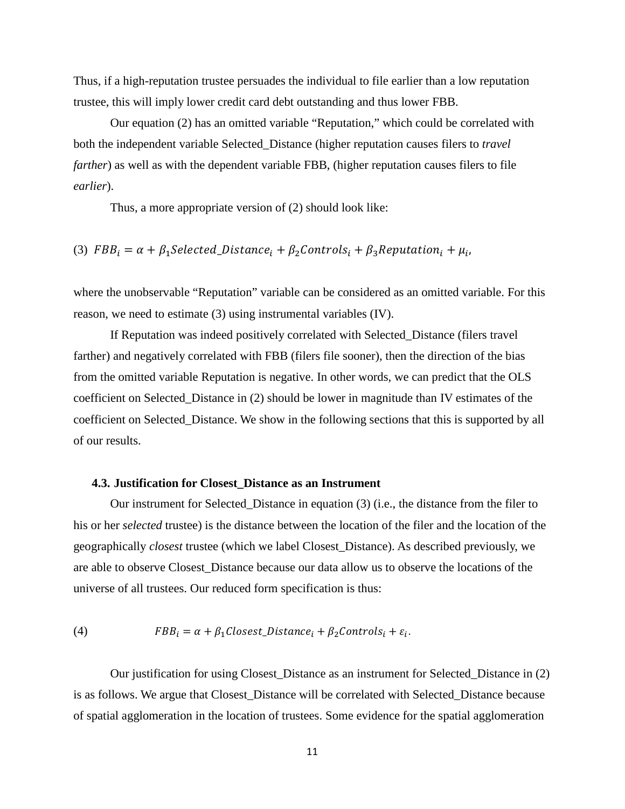Thus, if a high-reputation trustee persuades the individual to file earlier than a low reputation trustee, this will imply lower credit card debt outstanding and thus lower FBB.

Our equation (2) has an omitted variable "Reputation," which could be correlated with both the independent variable Selected\_Distance (higher reputation causes filers to *travel farther*) as well as with the dependent variable FBB, (higher reputation causes filers to file *earlier*).

Thus, a more appropriate version of (2) should look like:

(3)  $FBB_i = \alpha + \beta_1 Selected\_Distance_i + \beta_2 Controls_i + \beta_3 Reputation_i + \mu_i$ 

where the unobservable "Reputation" variable can be considered as an omitted variable. For this reason, we need to estimate (3) using instrumental variables (IV).

If Reputation was indeed positively correlated with Selected\_Distance (filers travel farther) and negatively correlated with FBB (filers file sooner), then the direction of the bias from the omitted variable Reputation is negative. In other words, we can predict that the OLS coefficient on Selected\_Distance in (2) should be lower in magnitude than IV estimates of the coefficient on Selected\_Distance. We show in the following sections that this is supported by all of our results.

# **4.3. Justification for Closest\_Distance as an Instrument**

Our instrument for Selected\_Distance in equation (3) (i.e., the distance from the filer to his or her *selected* trustee) is the distance between the location of the filer and the location of the geographically *closest* trustee (which we label Closest\_Distance). As described previously, we are able to observe Closest\_Distance because our data allow us to observe the locations of the universe of all trustees. Our reduced form specification is thus:

(4) 
$$
FBB_i = \alpha + \beta_1 Closed\_Distance_i + \beta_2 Controls_i + \varepsilon_i.
$$

Our justification for using Closest\_Distance as an instrument for Selected\_Distance in (2) is as follows. We argue that Closest\_Distance will be correlated with Selected\_Distance because of spatial agglomeration in the location of trustees. Some evidence for the spatial agglomeration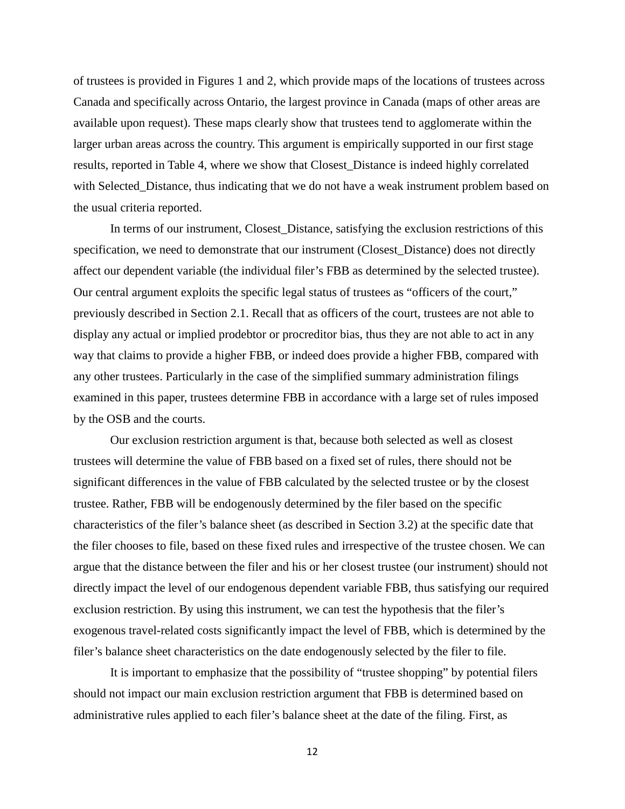of trustees is provided in Figures 1 and 2, which provide maps of the locations of trustees across Canada and specifically across Ontario, the largest province in Canada (maps of other areas are available upon request). These maps clearly show that trustees tend to agglomerate within the larger urban areas across the country. This argument is empirically supported in our first stage results, reported in Table 4, where we show that Closest\_Distance is indeed highly correlated with Selected\_Distance, thus indicating that we do not have a weak instrument problem based on the usual criteria reported.

In terms of our instrument, Closest\_Distance, satisfying the exclusion restrictions of this specification, we need to demonstrate that our instrument (Closest\_Distance) does not directly affect our dependent variable (the individual filer's FBB as determined by the selected trustee). Our central argument exploits the specific legal status of trustees as "officers of the court," previously described in Section 2.1. Recall that as officers of the court, trustees are not able to display any actual or implied prodebtor or procreditor bias, thus they are not able to act in any way that claims to provide a higher FBB, or indeed does provide a higher FBB, compared with any other trustees. Particularly in the case of the simplified summary administration filings examined in this paper, trustees determine FBB in accordance with a large set of rules imposed by the OSB and the courts.

Our exclusion restriction argument is that, because both selected as well as closest trustees will determine the value of FBB based on a fixed set of rules, there should not be significant differences in the value of FBB calculated by the selected trustee or by the closest trustee. Rather, FBB will be endogenously determined by the filer based on the specific characteristics of the filer's balance sheet (as described in Section 3.2) at the specific date that the filer chooses to file, based on these fixed rules and irrespective of the trustee chosen. We can argue that the distance between the filer and his or her closest trustee (our instrument) should not directly impact the level of our endogenous dependent variable FBB, thus satisfying our required exclusion restriction. By using this instrument, we can test the hypothesis that the filer's exogenous travel-related costs significantly impact the level of FBB, which is determined by the filer's balance sheet characteristics on the date endogenously selected by the filer to file.

It is important to emphasize that the possibility of "trustee shopping" by potential filers should not impact our main exclusion restriction argument that FBB is determined based on administrative rules applied to each filer's balance sheet at the date of the filing. First, as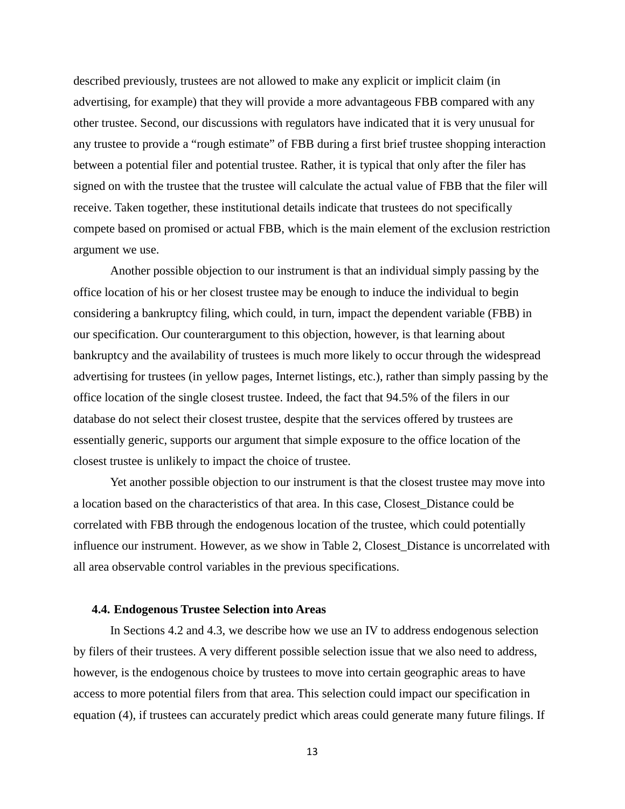described previously, trustees are not allowed to make any explicit or implicit claim (in advertising, for example) that they will provide a more advantageous FBB compared with any other trustee. Second, our discussions with regulators have indicated that it is very unusual for any trustee to provide a "rough estimate" of FBB during a first brief trustee shopping interaction between a potential filer and potential trustee. Rather, it is typical that only after the filer has signed on with the trustee that the trustee will calculate the actual value of FBB that the filer will receive. Taken together, these institutional details indicate that trustees do not specifically compete based on promised or actual FBB, which is the main element of the exclusion restriction argument we use.

Another possible objection to our instrument is that an individual simply passing by the office location of his or her closest trustee may be enough to induce the individual to begin considering a bankruptcy filing, which could, in turn, impact the dependent variable (FBB) in our specification. Our counterargument to this objection, however, is that learning about bankruptcy and the availability of trustees is much more likely to occur through the widespread advertising for trustees (in yellow pages, Internet listings, etc.), rather than simply passing by the office location of the single closest trustee. Indeed, the fact that 94.5% of the filers in our database do not select their closest trustee, despite that the services offered by trustees are essentially generic, supports our argument that simple exposure to the office location of the closest trustee is unlikely to impact the choice of trustee.

Yet another possible objection to our instrument is that the closest trustee may move into a location based on the characteristics of that area. In this case, Closest\_Distance could be correlated with FBB through the endogenous location of the trustee, which could potentially influence our instrument. However, as we show in Table 2, Closest\_Distance is uncorrelated with all area observable control variables in the previous specifications.

#### **4.4. Endogenous Trustee Selection into Areas**

In Sections 4.2 and 4.3, we describe how we use an IV to address endogenous selection by filers of their trustees. A very different possible selection issue that we also need to address, however, is the endogenous choice by trustees to move into certain geographic areas to have access to more potential filers from that area. This selection could impact our specification in equation (4), if trustees can accurately predict which areas could generate many future filings. If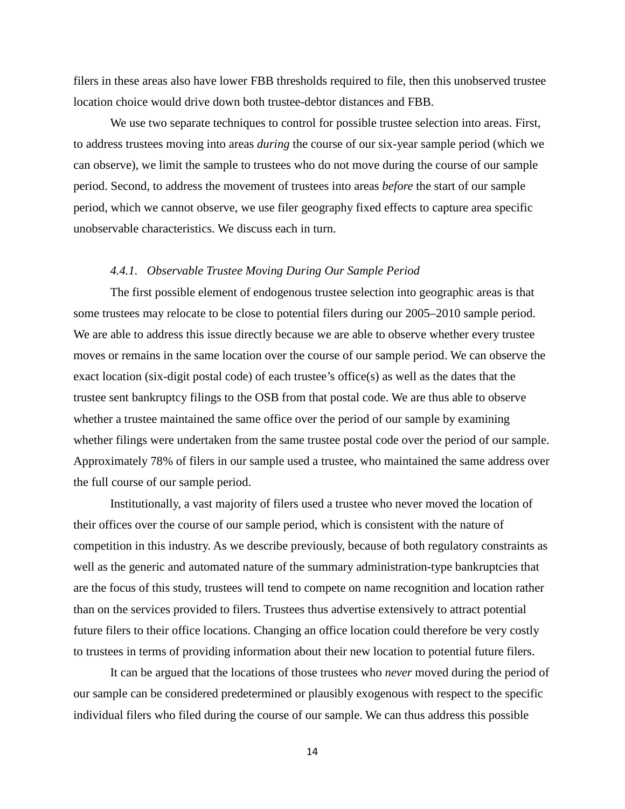filers in these areas also have lower FBB thresholds required to file, then this unobserved trustee location choice would drive down both trustee-debtor distances and FBB.

We use two separate techniques to control for possible trustee selection into areas. First, to address trustees moving into areas *during* the course of our six-year sample period (which we can observe), we limit the sample to trustees who do not move during the course of our sample period. Second, to address the movement of trustees into areas *before* the start of our sample period, which we cannot observe, we use filer geography fixed effects to capture area specific unobservable characteristics. We discuss each in turn.

# *4.4.1. Observable Trustee Moving During Our Sample Period*

The first possible element of endogenous trustee selection into geographic areas is that some trustees may relocate to be close to potential filers during our 2005–2010 sample period. We are able to address this issue directly because we are able to observe whether every trustee moves or remains in the same location over the course of our sample period. We can observe the exact location (six-digit postal code) of each trustee's office(s) as well as the dates that the trustee sent bankruptcy filings to the OSB from that postal code. We are thus able to observe whether a trustee maintained the same office over the period of our sample by examining whether filings were undertaken from the same trustee postal code over the period of our sample. Approximately 78% of filers in our sample used a trustee, who maintained the same address over the full course of our sample period.

Institutionally, a vast majority of filers used a trustee who never moved the location of their offices over the course of our sample period, which is consistent with the nature of competition in this industry. As we describe previously, because of both regulatory constraints as well as the generic and automated nature of the summary administration-type bankruptcies that are the focus of this study, trustees will tend to compete on name recognition and location rather than on the services provided to filers. Trustees thus advertise extensively to attract potential future filers to their office locations. Changing an office location could therefore be very costly to trustees in terms of providing information about their new location to potential future filers.

It can be argued that the locations of those trustees who *never* moved during the period of our sample can be considered predetermined or plausibly exogenous with respect to the specific individual filers who filed during the course of our sample. We can thus address this possible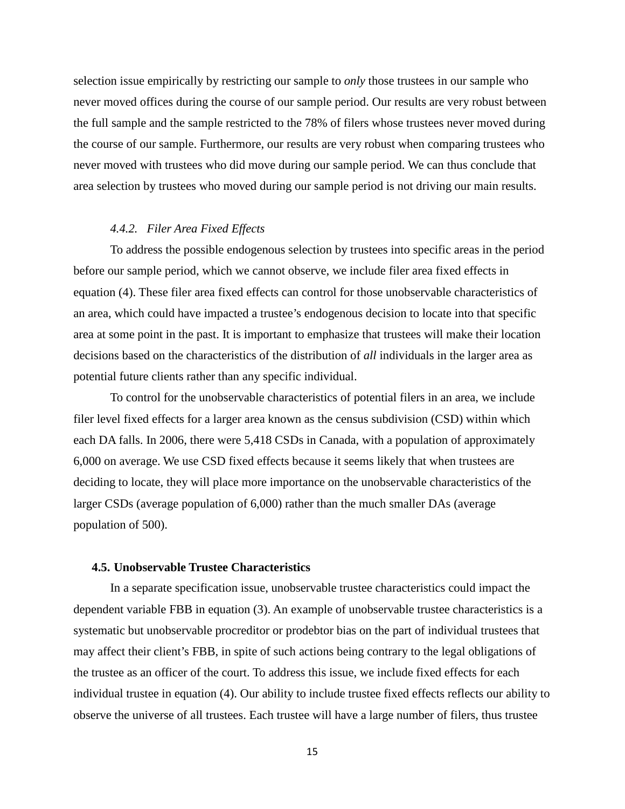selection issue empirically by restricting our sample to *only* those trustees in our sample who never moved offices during the course of our sample period. Our results are very robust between the full sample and the sample restricted to the 78% of filers whose trustees never moved during the course of our sample. Furthermore, our results are very robust when comparing trustees who never moved with trustees who did move during our sample period. We can thus conclude that area selection by trustees who moved during our sample period is not driving our main results.

#### *4.4.2. Filer Area Fixed Effects*

To address the possible endogenous selection by trustees into specific areas in the period before our sample period, which we cannot observe, we include filer area fixed effects in equation (4). These filer area fixed effects can control for those unobservable characteristics of an area, which could have impacted a trustee's endogenous decision to locate into that specific area at some point in the past. It is important to emphasize that trustees will make their location decisions based on the characteristics of the distribution of *all* individuals in the larger area as potential future clients rather than any specific individual.

To control for the unobservable characteristics of potential filers in an area, we include filer level fixed effects for a larger area known as the census subdivision (CSD) within which each DA falls. In 2006, there were 5,418 CSDs in Canada, with a population of approximately 6,000 on average. We use CSD fixed effects because it seems likely that when trustees are deciding to locate, they will place more importance on the unobservable characteristics of the larger CSDs (average population of 6,000) rather than the much smaller DAs (average population of 500).

# **4.5. Unobservable Trustee Characteristics**

In a separate specification issue, unobservable trustee characteristics could impact the dependent variable FBB in equation (3). An example of unobservable trustee characteristics is a systematic but unobservable procreditor or prodebtor bias on the part of individual trustees that may affect their client's FBB, in spite of such actions being contrary to the legal obligations of the trustee as an officer of the court. To address this issue, we include fixed effects for each individual trustee in equation (4). Our ability to include trustee fixed effects reflects our ability to observe the universe of all trustees. Each trustee will have a large number of filers, thus trustee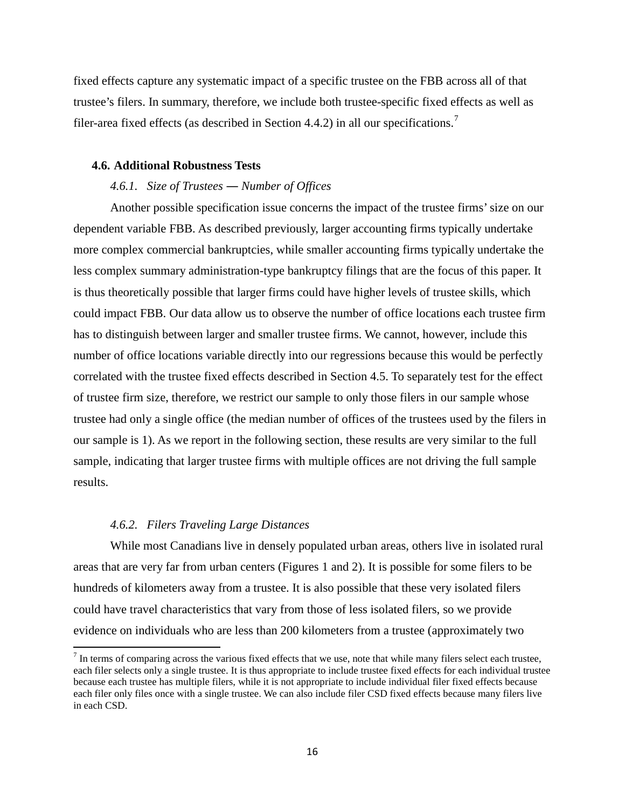fixed effects capture any systematic impact of a specific trustee on the FBB across all of that trustee's filers. In summary, therefore, we include both trustee-specific fixed effects as well as filer-area fixed effects (as described in Section 4.4.2) in all our specifications.<sup>[7](#page-17-0)</sup>

# **4.6. Additional Robustness Tests**

# *4.6.1. Size of Trustees ― Number of Offices*

Another possible specification issue concerns the impact of the trustee firms' size on our dependent variable FBB. As described previously, larger accounting firms typically undertake more complex commercial bankruptcies, while smaller accounting firms typically undertake the less complex summary administration-type bankruptcy filings that are the focus of this paper. It is thus theoretically possible that larger firms could have higher levels of trustee skills, which could impact FBB. Our data allow us to observe the number of office locations each trustee firm has to distinguish between larger and smaller trustee firms. We cannot, however, include this number of office locations variable directly into our regressions because this would be perfectly correlated with the trustee fixed effects described in Section 4.5. To separately test for the effect of trustee firm size, therefore, we restrict our sample to only those filers in our sample whose trustee had only a single office (the median number of offices of the trustees used by the filers in our sample is 1). As we report in the following section, these results are very similar to the full sample, indicating that larger trustee firms with multiple offices are not driving the full sample results.

# *4.6.2. Filers Traveling Large Distances*

While most Canadians live in densely populated urban areas, others live in isolated rural areas that are very far from urban centers (Figures 1 and 2). It is possible for some filers to be hundreds of kilometers away from a trustee. It is also possible that these very isolated filers could have travel characteristics that vary from those of less isolated filers, so we provide evidence on individuals who are less than 200 kilometers from a trustee (approximately two

<span id="page-17-0"></span> $<sup>7</sup>$  In terms of comparing across the various fixed effects that we use, note that while many filers select each trustee,</sup> each filer selects only a single trustee. It is thus appropriate to include trustee fixed effects for each individual trustee because each trustee has multiple filers, while it is not appropriate to include individual filer fixed effects because each filer only files once with a single trustee. We can also include filer CSD fixed effects because many filers live in each CSD.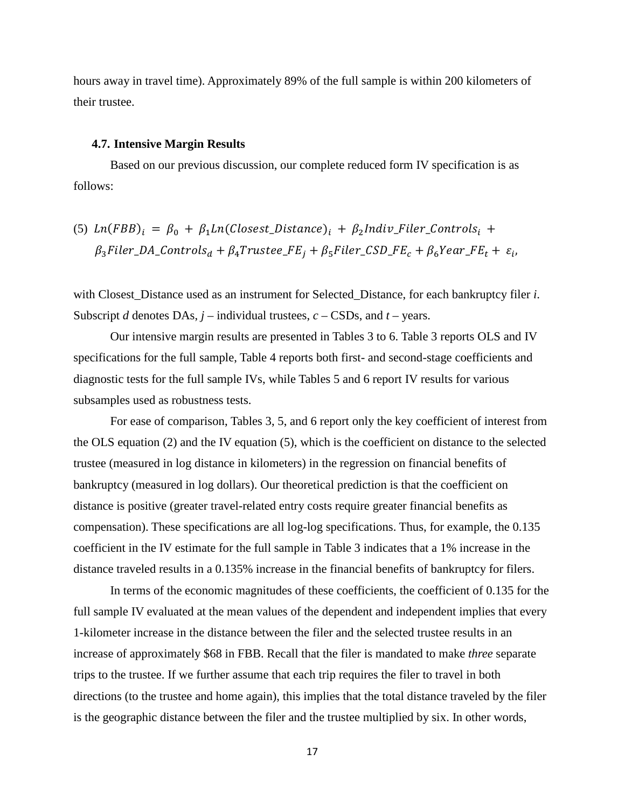hours away in travel time). Approximately 89% of the full sample is within 200 kilometers of their trustee.

#### **4.7. Intensive Margin Results**

Based on our previous discussion, our complete reduced form IV specification is as follows:

(5) 
$$
Ln(FBB)_i = \beta_0 + \beta_1 Ln(Closed\_Distance)_i + \beta_2 Indiv\_Filter\_Controls_i + \beta_3 Filter\_DA\_Controls_d + \beta_4 Trustee\_FE_j + \beta_5 Filter\_CSD\_FE_c + \beta_6 Year\_FE_t + \varepsilon_i
$$

with Closest\_Distance used as an instrument for Selected\_Distance, for each bankruptcy filer *i*. Subscript *d* denotes DAs, *j* – individual trustees, *c* – CSDs, and *t* – years.

Our intensive margin results are presented in Tables 3 to 6. Table 3 reports OLS and IV specifications for the full sample, Table 4 reports both first- and second-stage coefficients and diagnostic tests for the full sample IVs, while Tables 5 and 6 report IV results for various subsamples used as robustness tests.

For ease of comparison, Tables 3, 5, and 6 report only the key coefficient of interest from the OLS equation (2) and the IV equation (5), which is the coefficient on distance to the selected trustee (measured in log distance in kilometers) in the regression on financial benefits of bankruptcy (measured in log dollars). Our theoretical prediction is that the coefficient on distance is positive (greater travel-related entry costs require greater financial benefits as compensation). These specifications are all log-log specifications. Thus, for example, the 0.135 coefficient in the IV estimate for the full sample in Table 3 indicates that a 1% increase in the distance traveled results in a 0.135% increase in the financial benefits of bankruptcy for filers.

In terms of the economic magnitudes of these coefficients, the coefficient of 0.135 for the full sample IV evaluated at the mean values of the dependent and independent implies that every 1-kilometer increase in the distance between the filer and the selected trustee results in an increase of approximately \$68 in FBB. Recall that the filer is mandated to make *three* separate trips to the trustee. If we further assume that each trip requires the filer to travel in both directions (to the trustee and home again), this implies that the total distance traveled by the filer is the geographic distance between the filer and the trustee multiplied by six. In other words,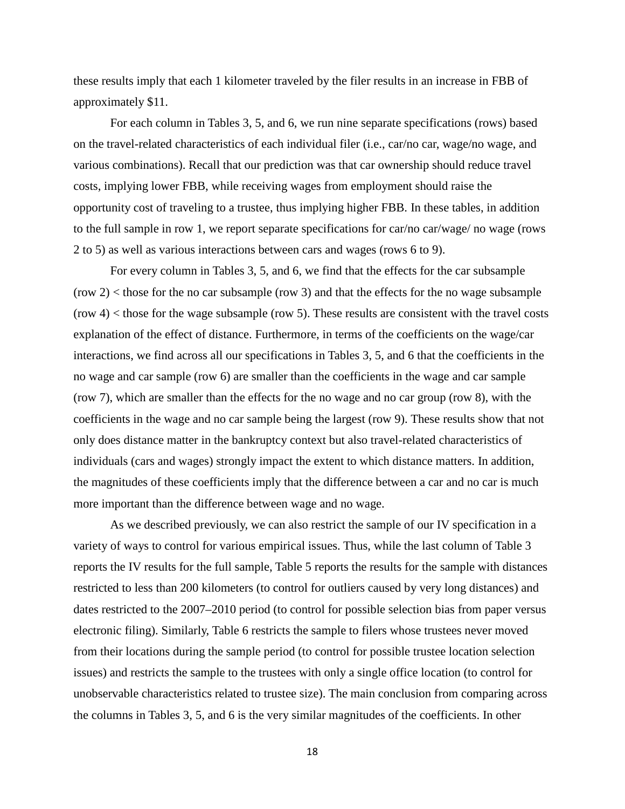these results imply that each 1 kilometer traveled by the filer results in an increase in FBB of approximately \$11.

For each column in Tables 3, 5, and 6, we run nine separate specifications (rows) based on the travel-related characteristics of each individual filer (i.e., car/no car, wage/no wage, and various combinations). Recall that our prediction was that car ownership should reduce travel costs, implying lower FBB, while receiving wages from employment should raise the opportunity cost of traveling to a trustee, thus implying higher FBB. In these tables, in addition to the full sample in row 1, we report separate specifications for car/no car/wage/ no wage (rows 2 to 5) as well as various interactions between cars and wages (rows 6 to 9).

For every column in Tables 3, 5, and 6, we find that the effects for the car subsample  $(\text{row } 2)$  < those for the no car subsample  $(\text{row } 3)$  and that the effects for the no wage subsample  $(\text{row } 4)$  < those for the wage subsample  $(\text{row } 5)$ . These results are consistent with the travel costs explanation of the effect of distance. Furthermore, in terms of the coefficients on the wage/car interactions, we find across all our specifications in Tables 3, 5, and 6 that the coefficients in the no wage and car sample (row 6) are smaller than the coefficients in the wage and car sample (row 7), which are smaller than the effects for the no wage and no car group (row 8), with the coefficients in the wage and no car sample being the largest (row 9). These results show that not only does distance matter in the bankruptcy context but also travel-related characteristics of individuals (cars and wages) strongly impact the extent to which distance matters. In addition, the magnitudes of these coefficients imply that the difference between a car and no car is much more important than the difference between wage and no wage.

As we described previously, we can also restrict the sample of our IV specification in a variety of ways to control for various empirical issues. Thus, while the last column of Table 3 reports the IV results for the full sample, Table 5 reports the results for the sample with distances restricted to less than 200 kilometers (to control for outliers caused by very long distances) and dates restricted to the 2007–2010 period (to control for possible selection bias from paper versus electronic filing). Similarly, Table 6 restricts the sample to filers whose trustees never moved from their locations during the sample period (to control for possible trustee location selection issues) and restricts the sample to the trustees with only a single office location (to control for unobservable characteristics related to trustee size). The main conclusion from comparing across the columns in Tables 3, 5, and 6 is the very similar magnitudes of the coefficients. In other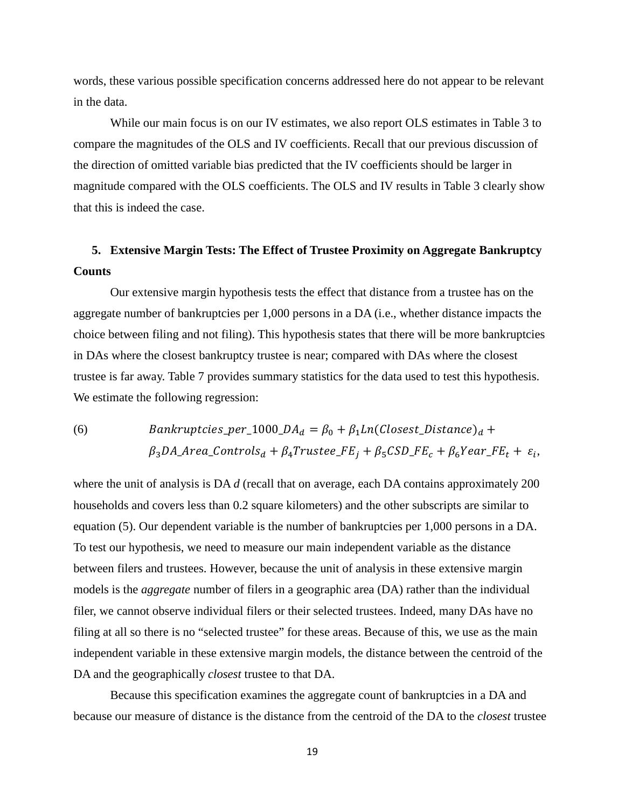words, these various possible specification concerns addressed here do not appear to be relevant in the data.

While our main focus is on our IV estimates, we also report OLS estimates in Table 3 to compare the magnitudes of the OLS and IV coefficients. Recall that our previous discussion of the direction of omitted variable bias predicted that the IV coefficients should be larger in magnitude compared with the OLS coefficients. The OLS and IV results in Table 3 clearly show that this is indeed the case.

# **5. Extensive Margin Tests: The Effect of Trustee Proximity on Aggregate Bankruptcy Counts**

Our extensive margin hypothesis tests the effect that distance from a trustee has on the aggregate number of bankruptcies per 1,000 persons in a DA (i.e., whether distance impacts the choice between filing and not filing). This hypothesis states that there will be more bankruptcies in DAs where the closest bankruptcy trustee is near; compared with DAs where the closest trustee is far away. Table 7 provides summary statistics for the data used to test this hypothesis. We estimate the following regression:

# (6) *Bankruptcies\_per\_1000\_DA*<sub>d</sub> =  $\beta_0 + \beta_1 Ln(Closest_Distance)_d +$  $\beta_3 DA$ <sub>-</sub>Area<sub>-</sub>Controls<sub>d</sub> +  $\beta_4 Trustee$ <sub>-FE<sub>i</sub> +  $\beta_5 CSD$ <sub>-FE<sub>c</sub> +  $\beta_6 Year$ -FE<sub>t</sub> +  $\varepsilon_i$ ,</sub></sub>

where the unit of analysis is DA *d* (recall that on average, each DA contains approximately 200 households and covers less than 0.2 square kilometers) and the other subscripts are similar to equation (5). Our dependent variable is the number of bankruptcies per 1,000 persons in a DA. To test our hypothesis, we need to measure our main independent variable as the distance between filers and trustees. However, because the unit of analysis in these extensive margin models is the *aggregate* number of filers in a geographic area (DA) rather than the individual filer, we cannot observe individual filers or their selected trustees. Indeed, many DAs have no filing at all so there is no "selected trustee" for these areas. Because of this, we use as the main independent variable in these extensive margin models, the distance between the centroid of the DA and the geographically *closest* trustee to that DA.

Because this specification examines the aggregate count of bankruptcies in a DA and because our measure of distance is the distance from the centroid of the DA to the *closest* trustee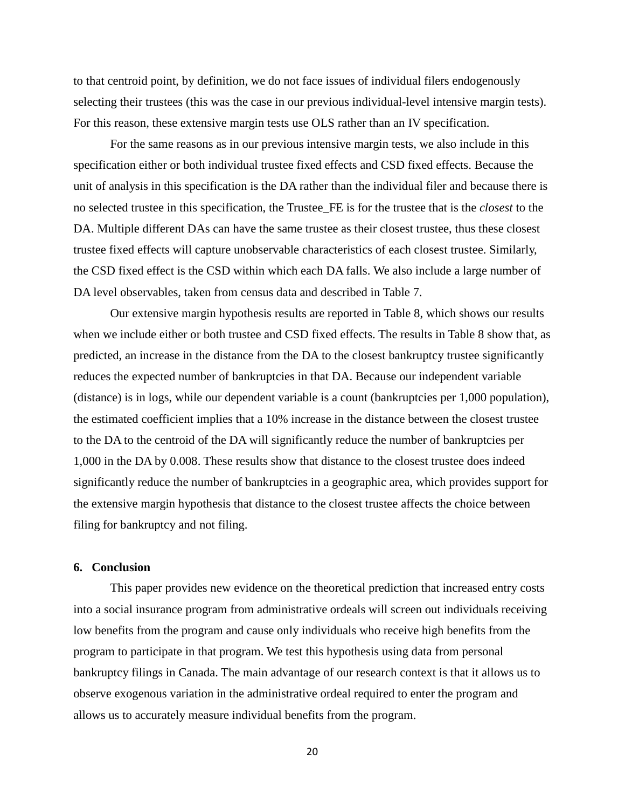to that centroid point, by definition, we do not face issues of individual filers endogenously selecting their trustees (this was the case in our previous individual-level intensive margin tests). For this reason, these extensive margin tests use OLS rather than an IV specification.

For the same reasons as in our previous intensive margin tests, we also include in this specification either or both individual trustee fixed effects and CSD fixed effects. Because the unit of analysis in this specification is the DA rather than the individual filer and because there is no selected trustee in this specification, the Trustee\_FE is for the trustee that is the *closest* to the DA. Multiple different DAs can have the same trustee as their closest trustee, thus these closest trustee fixed effects will capture unobservable characteristics of each closest trustee. Similarly, the CSD fixed effect is the CSD within which each DA falls. We also include a large number of DA level observables, taken from census data and described in Table 7.

Our extensive margin hypothesis results are reported in Table 8, which shows our results when we include either or both trustee and CSD fixed effects. The results in Table 8 show that, as predicted, an increase in the distance from the DA to the closest bankruptcy trustee significantly reduces the expected number of bankruptcies in that DA. Because our independent variable (distance) is in logs, while our dependent variable is a count (bankruptcies per 1,000 population), the estimated coefficient implies that a 10% increase in the distance between the closest trustee to the DA to the centroid of the DA will significantly reduce the number of bankruptcies per 1,000 in the DA by 0.008. These results show that distance to the closest trustee does indeed significantly reduce the number of bankruptcies in a geographic area, which provides support for the extensive margin hypothesis that distance to the closest trustee affects the choice between filing for bankruptcy and not filing.

# **6. Conclusion**

This paper provides new evidence on the theoretical prediction that increased entry costs into a social insurance program from administrative ordeals will screen out individuals receiving low benefits from the program and cause only individuals who receive high benefits from the program to participate in that program. We test this hypothesis using data from personal bankruptcy filings in Canada. The main advantage of our research context is that it allows us to observe exogenous variation in the administrative ordeal required to enter the program and allows us to accurately measure individual benefits from the program.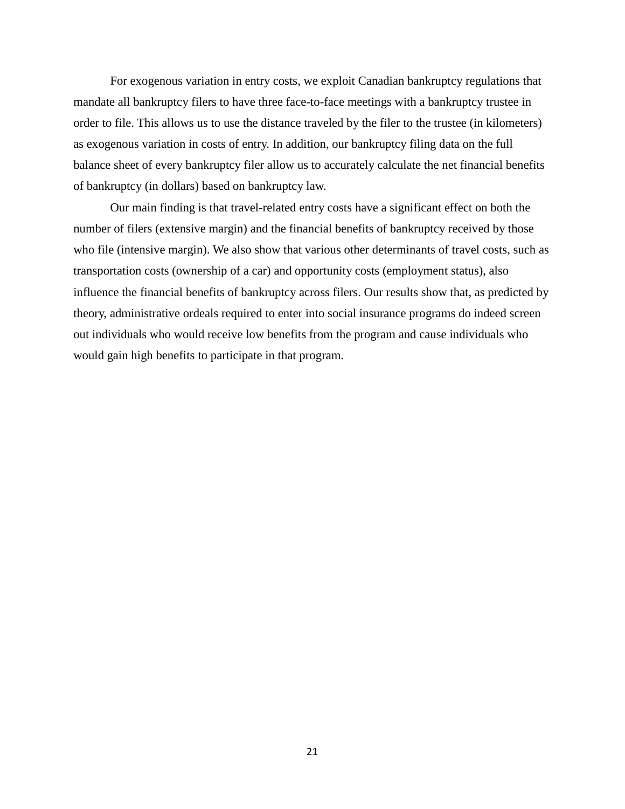For exogenous variation in entry costs, we exploit Canadian bankruptcy regulations that mandate all bankruptcy filers to have three face-to-face meetings with a bankruptcy trustee in order to file. This allows us to use the distance traveled by the filer to the trustee (in kilometers) as exogenous variation in costs of entry. In addition, our bankruptcy filing data on the full balance sheet of every bankruptcy filer allow us to accurately calculate the net financial benefits of bankruptcy (in dollars) based on bankruptcy law.

Our main finding is that travel-related entry costs have a significant effect on both the number of filers (extensive margin) and the financial benefits of bankruptcy received by those who file (intensive margin). We also show that various other determinants of travel costs, such as transportation costs (ownership of a car) and opportunity costs (employment status), also influence the financial benefits of bankruptcy across filers. Our results show that, as predicted by theory, administrative ordeals required to enter into social insurance programs do indeed screen out individuals who would receive low benefits from the program and cause individuals who would gain high benefits to participate in that program.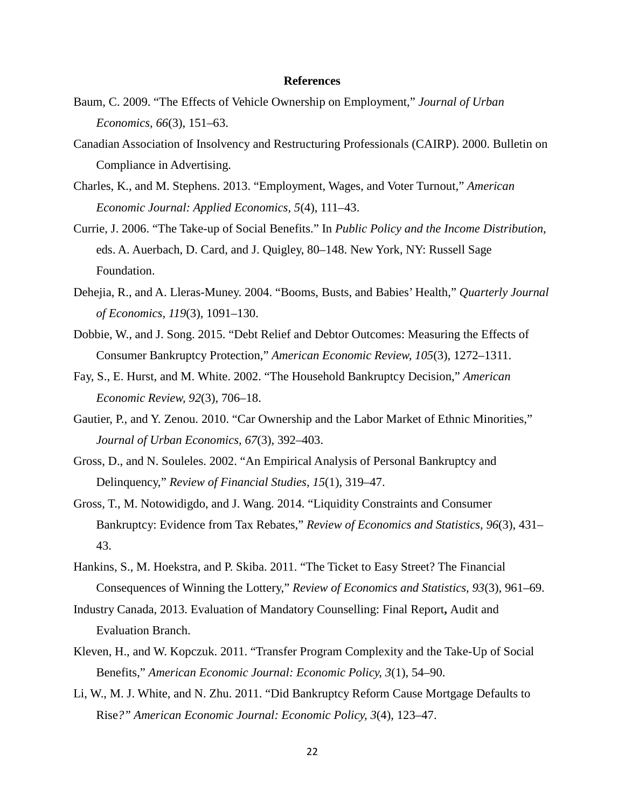# **References**

- Baum, C. 2009. "The Effects of Vehicle Ownership on Employment*,*" *Journal of Urban Economics, 66*(3), 151–63.
- Canadian Association of Insolvency and Restructuring Professionals (CAIRP). 2000. Bulletin on Compliance in Advertising.
- Charles, K., and M. Stephens. 2013. "Employment, Wages, and Voter Turnout," *American Economic Journal: Applied Economics, 5*(4), 111–43.
- Currie, J. 2006. "The Take-up of Social Benefits." In *Public Policy and the Income Distribution*, eds. A. Auerbach, D. Card, and J. Quigley, 80–148. New York, NY: Russell Sage Foundation.
- Dehejia, R., and A. Lleras-Muney. 2004. "Booms, Busts, and Babies' Health," *Quarterly Journal of Economics, 119*(3), 1091–130.
- Dobbie, W., and J. Song. 2015. "Debt Relief and Debtor Outcomes: Measuring the Effects of Consumer Bankruptcy Protection," *American Economic Review, 105*(3), 1272–1311.
- Fay, S., E. Hurst, and M. White. 2002. "The Household Bankruptcy Decision," *American Economic Review, 92*(3), 706–18.
- Gautier, P., and Y. Zenou. 2010. "Car Ownership and the Labor Market of Ethnic Minorities," *Journal of Urban Economics, 67*(3), 392–403.
- Gross, D., and N. Souleles. 2002. "An Empirical Analysis of Personal Bankruptcy and Delinquency," *Review of Financial Studies, 15*(1), 319–47.
- Gross, T., M. Notowidigdo, and J. Wang. 2014. "Liquidity Constraints and Consumer Bankruptcy: Evidence from Tax Rebates," *Review of Economics and Statistics, 96*(3), 431– 43.
- Hankins, S., M. Hoekstra, and P. Skiba. 2011. "The Ticket to Easy Street? The Financial Consequences of Winning the Lottery," *Review of Economics and Statistics, 93*(3), 961–69.
- Industry Canada, 2013. Evaluation of Mandatory Counselling: Final Report**,** Audit and Evaluation Branch.
- Kleven, H., and W. Kopczuk. 2011. "Transfer Program Complexity and the Take-Up of Social Benefits," *American Economic Journal: Economic Policy, 3*(1), 54–90.
- Li, W., M. J. White, and N. Zhu. 2011. "Did Bankruptcy Reform Cause Mortgage Defaults to Rise*?" American Economic Journal: Economic Policy, 3*(4), 123–47.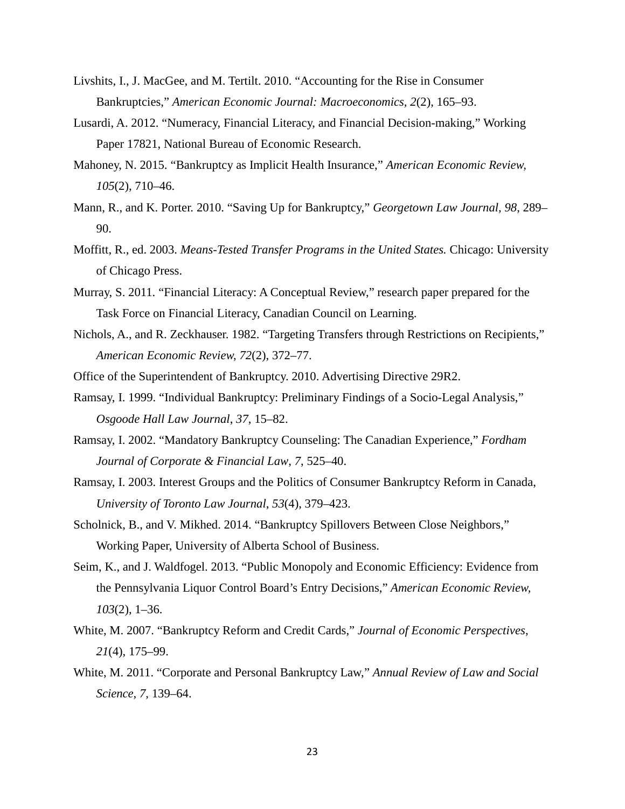- Livshits, I., J. MacGee, and M. Tertilt. 2010. "Accounting for the Rise in Consumer Bankruptcies," *American Economic Journal: Macroeconomics, 2*(2), 165–93.
- Lusardi, A. 2012. "Numeracy, Financial Literacy, and Financial Decision-making," Working Paper 17821, National Bureau of Economic Research.
- Mahoney, N. 2015. "Bankruptcy as Implicit Health Insurance," *American Economic Review, 105*(2), 710–46.
- Mann, R., and K. Porter. 2010. "Saving Up for Bankruptcy," *Georgetown Law Journal, 98*, 289– 90.
- Moffitt, R., ed. 2003. *Means-Tested Transfer Programs in the United States.* Chicago: University of Chicago Press.
- Murray, S. 2011. "Financial Literacy: A Conceptual Review," research paper prepared for the Task Force on Financial Literacy, Canadian Council on Learning.
- Nichols, A., and R. Zeckhauser. 1982. "Targeting Transfers through Restrictions on Recipients," *American Economic Review, 72*(2), 372–77.
- Office of the Superintendent of Bankruptcy. 2010. Advertising Directive 29R2.
- Ramsay, I. 1999. "Individual Bankruptcy: Preliminary Findings of a Socio-Legal Analysis," *Osgoode Hall Law Journal*, *37*, 15–82.
- Ramsay, I. 2002. "Mandatory Bankruptcy Counseling: The Canadian Experience," *Fordham Journal of Corporate & Financial Law*, *7*, 525–40.
- Ramsay, I. 2003. Interest Groups and the Politics of Consumer Bankruptcy Reform in Canada, *University of Toronto Law Journal*, *53*(4), 379–423.
- Scholnick, B., and V. Mikhed. 2014. "Bankruptcy Spillovers Between Close Neighbors," Working Paper, University of Alberta School of Business.
- Seim, K., and J. Waldfogel. 2013. "Public Monopoly and Economic Efficiency: Evidence from the Pennsylvania Liquor Control Board's Entry Decisions," *American Economic Review, 103*(2), 1–36.
- White, M. 2007. "Bankruptcy Reform and Credit Cards," *Journal of Economic Perspectives*, *21*(4), 175–99.
- White, M. 2011. "Corporate and Personal Bankruptcy Law," *Annual Review of Law and Social Science, 7*, 139–64.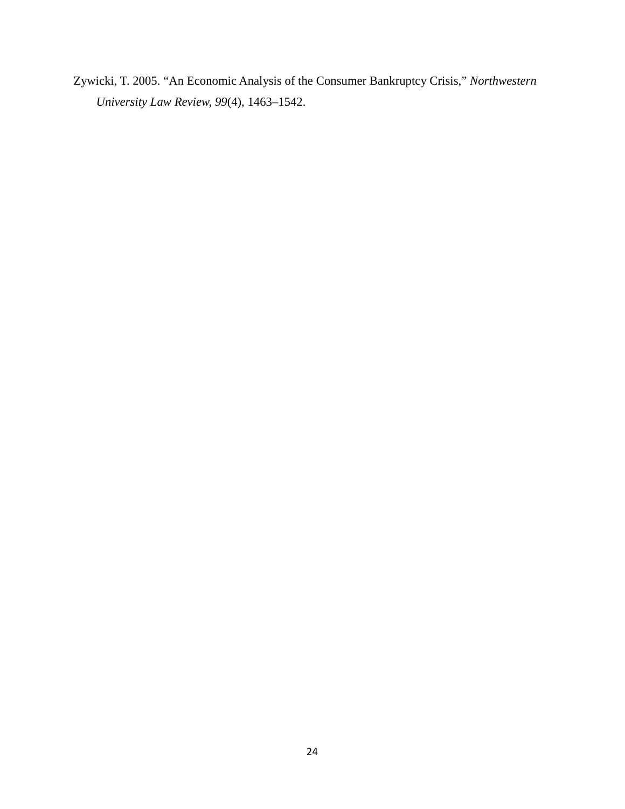Zywicki, T. 2005. "An Economic Analysis of the Consumer Bankruptcy Crisis," *Northwestern University Law Review, 99*(4), 1463–1542.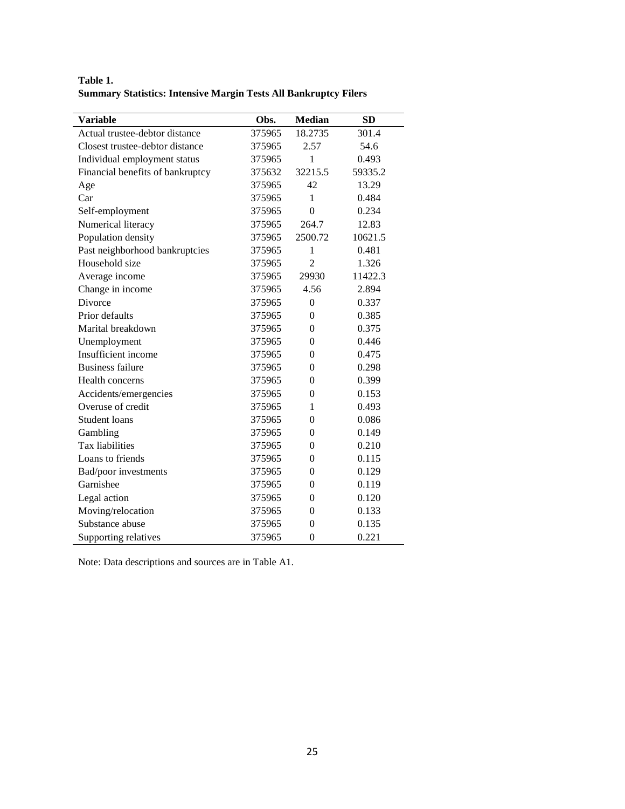**Table 1. Summary Statistics: Intensive Margin Tests All Bankruptcy Filers**

| <b>Variable</b>                  | Obs.   | <b>Median</b>  | <b>SD</b> |
|----------------------------------|--------|----------------|-----------|
| Actual trustee-debtor distance   | 375965 | 18.2735        | 301.4     |
| Closest trustee-debtor distance  | 375965 | 2.57           | 54.6      |
| Individual employment status     | 375965 | 1              | 0.493     |
| Financial benefits of bankruptcy | 375632 | 32215.5        | 59335.2   |
| Age                              | 375965 | 42             | 13.29     |
| Car                              | 375965 | 1              | 0.484     |
| Self-employment                  | 375965 | $\overline{0}$ | 0.234     |
| Numerical literacy               | 375965 | 264.7          | 12.83     |
| Population density               | 375965 | 2500.72        | 10621.5   |
| Past neighborhood bankruptcies   | 375965 | 1              | 0.481     |
| Household size                   | 375965 | $\overline{2}$ | 1.326     |
| Average income                   | 375965 | 29930          | 11422.3   |
| Change in income                 | 375965 | 4.56           | 2.894     |
| Divorce                          | 375965 | $\theta$       | 0.337     |
| Prior defaults                   | 375965 | $\theta$       | 0.385     |
| Marital breakdown                | 375965 | $\theta$       | 0.375     |
| Unemployment                     | 375965 | $\theta$       | 0.446     |
| Insufficient income              | 375965 | 0              | 0.475     |
| <b>Business failure</b>          | 375965 | $\theta$       | 0.298     |
| Health concerns                  | 375965 | $\overline{0}$ | 0.399     |
| Accidents/emergencies            | 375965 | $\theta$       | 0.153     |
| Overuse of credit                | 375965 | 1              | 0.493     |
| <b>Student loans</b>             | 375965 | $\theta$       | 0.086     |
| Gambling                         | 375965 | $\theta$       | 0.149     |
| Tax liabilities                  | 375965 | $\overline{0}$ | 0.210     |
| Loans to friends                 | 375965 | $\theta$       | 0.115     |
| Bad/poor investments             | 375965 | $\theta$       | 0.129     |
| Garnishee                        | 375965 | 0              | 0.119     |
| Legal action                     | 375965 | $\theta$       | 0.120     |
| Moving/relocation                | 375965 | $\overline{0}$ | 0.133     |
| Substance abuse                  | 375965 | $\theta$       | 0.135     |
| Supporting relatives             | 375965 | $\mathbf{0}$   | 0.221     |

Note: Data descriptions and sources are in Table A1.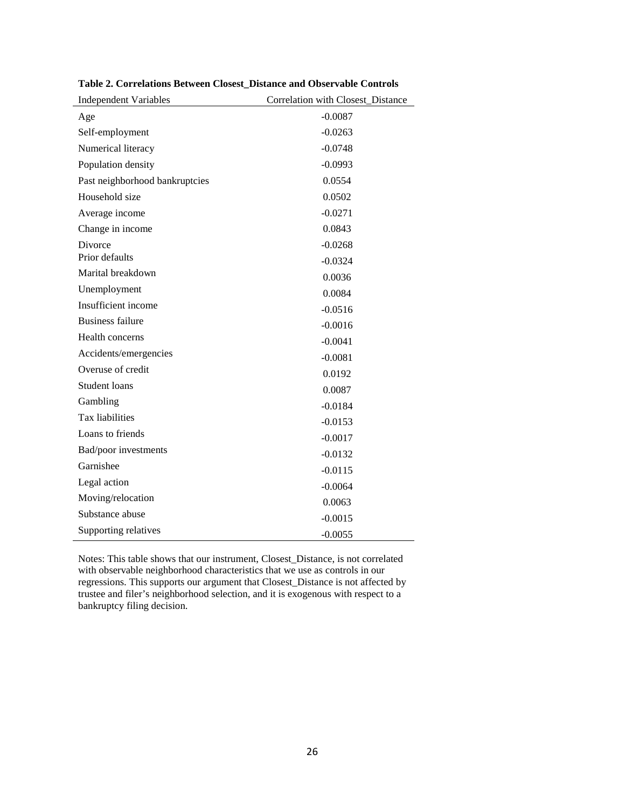| <b>Independent Variables</b>   | Correlation with Closest_Distance |
|--------------------------------|-----------------------------------|
| Age                            | $-0.0087$                         |
| Self-employment                | $-0.0263$                         |
| Numerical literacy             | $-0.0748$                         |
| Population density             | $-0.0993$                         |
| Past neighborhood bankruptcies | 0.0554                            |
| Household size                 | 0.0502                            |
| Average income                 | $-0.0271$                         |
| Change in income               | 0.0843                            |
| <b>Divorce</b>                 | $-0.0268$                         |
| Prior defaults                 | $-0.0324$                         |
| Marital breakdown              | 0.0036                            |
| Unemployment                   | 0.0084                            |
| Insufficient income            | $-0.0516$                         |
| <b>Business failure</b>        | $-0.0016$                         |
| Health concerns                | $-0.0041$                         |
| Accidents/emergencies          | $-0.0081$                         |
| Overuse of credit              | 0.0192                            |
| Student loans                  | 0.0087                            |
| Gambling                       | $-0.0184$                         |
| Tax liabilities                | $-0.0153$                         |
| Loans to friends               | $-0.0017$                         |
| Bad/poor investments           | $-0.0132$                         |
| Garnishee                      | $-0.0115$                         |
| Legal action                   | $-0.0064$                         |
| Moving/relocation              | 0.0063                            |
| Substance abuse                | $-0.0015$                         |
| Supporting relatives           | $-0.0055$                         |

**Table 2. Correlations Between Closest\_Distance and Observable Controls**

Notes: This table shows that our instrument, Closest\_Distance, is not correlated with observable neighborhood characteristics that we use as controls in our regressions. This supports our argument that Closest\_Distance is not affected by trustee and filer's neighborhood selection, and it is exogenous with respect to a bankruptcy filing decision.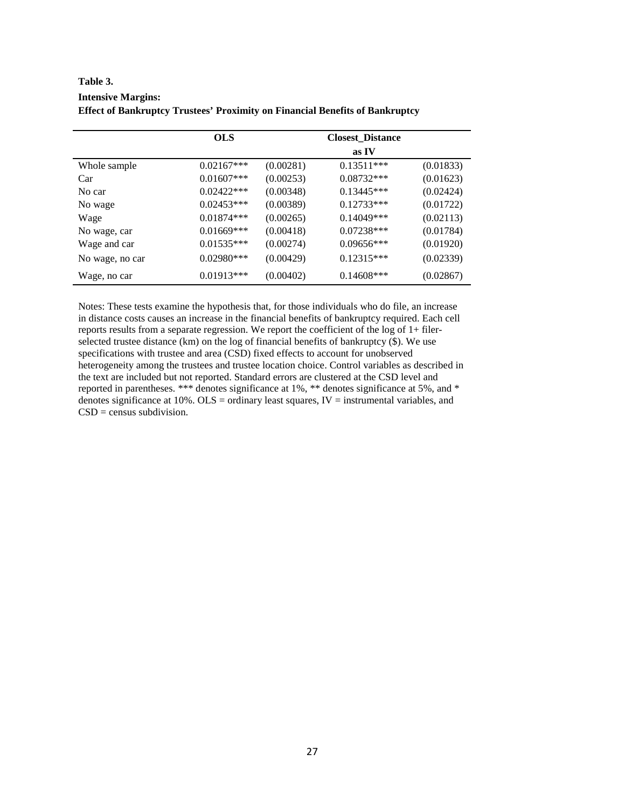| Table 3.                                                                            |
|-------------------------------------------------------------------------------------|
| <b>Intensive Margins:</b>                                                           |
| <b>Effect of Bankruptcy Trustees' Proximity on Financial Benefits of Bankruptcy</b> |

|                 | <b>OLS</b>    |           | <b>Closest_Distance</b> |           |
|-----------------|---------------|-----------|-------------------------|-----------|
|                 |               |           | as IV                   |           |
| Whole sample    | $0.02167***$  | (0.00281) | $0.13511***$            | (0.01833) |
| Car             | $0.01607$ *** | (0.00253) | $0.08732***$            | (0.01623) |
| No car          | $0.02422***$  | (0.00348) | $0.13445***$            | (0.02424) |
| No wage         | $0.02453***$  | (0.00389) | $0.12733***$            | (0.01722) |
| Wage            | $0.01874***$  | (0.00265) | $0.14049***$            | (0.02113) |
| No wage, car    | $0.01669$ *** | (0.00418) | $0.07238***$            | (0.01784) |
| Wage and car    | $0.01535***$  | (0.00274) | $0.09656***$            | (0.01920) |
| No wage, no car | $0.02980***$  | (0.00429) | $0.12315***$            | (0.02339) |
| Wage, no car    | $0.01913***$  | (0.00402) | $0.14608***$            | (0.02867) |

Notes: These tests examine the hypothesis that, for those individuals who do file, an increase in distance costs causes an increase in the financial benefits of bankruptcy required. Each cell reports results from a separate regression. We report the coefficient of the log of 1+ filerselected trustee distance (km) on the log of financial benefits of bankruptcy (\$). We use specifications with trustee and area (CSD) fixed effects to account for unobserved heterogeneity among the trustees and trustee location choice. Control variables as described in the text are included but not reported. Standard errors are clustered at the CSD level and reported in parentheses. \*\*\* denotes significance at 1%, \*\* denotes significance at 5%, and \* denotes significance at 10%. OLS = ordinary least squares, IV = instrumental variables, and  $CSD = \overline{c}$  census subdivision.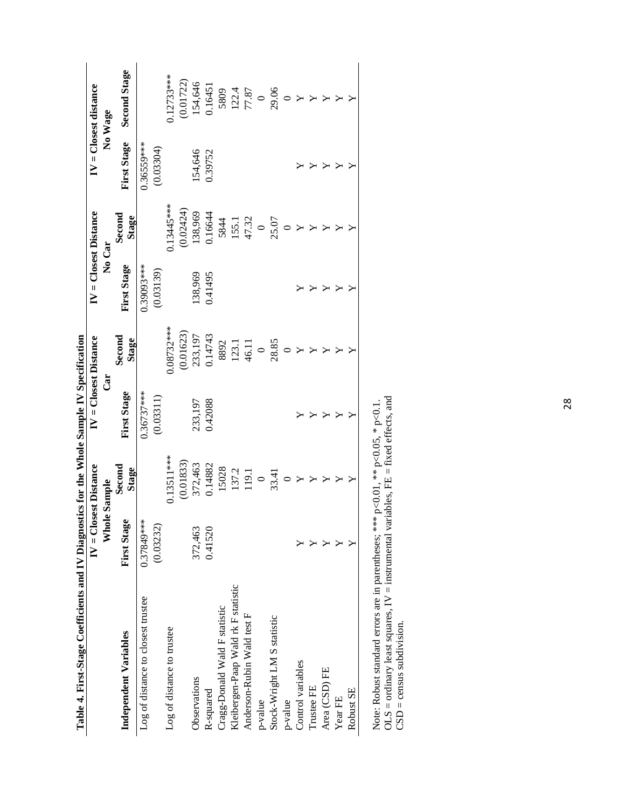| Table 4. First-Stage Coefficients and IV Diagnostics for the Whole Sample IV Specification |                        |                        |                          |                 |                         |                 |                    |                        |
|--------------------------------------------------------------------------------------------|------------------------|------------------------|--------------------------|-----------------|-------------------------|-----------------|--------------------|------------------------|
|                                                                                            | $IV = Closed Distance$ |                        | $IV = C1$ osest Distance |                 | $IV = C loss D istance$ |                 |                    | $IV = C loss distance$ |
|                                                                                            | Whole                  | Sample                 | ්                        |                 | No Car                  |                 |                    | No Wage                |
| Independent Variables                                                                      | <b>First Stage</b>     | Second<br><b>Stage</b> | <b>First Stage</b>       | Second<br>Stage | First Stage             | Second<br>Stage | <b>First Stage</b> | <b>Second Stage</b>    |
| Log of distance to closest trustee                                                         | 0.37849***             |                        | $0.36737***$             |                 | 0.39093***              |                 | $0.36559***$       |                        |
|                                                                                            | (0.03232)              |                        | (0.03311)                |                 | (0.03139)               |                 | (0.03304)          |                        |
| Log of distance to trustee                                                                 |                        | $0.13511***$           |                          | $0.08732***$    |                         | $0.13445***$    |                    | $0.12733***$           |
|                                                                                            |                        | (0.01833)              |                          | (0.01623)       |                         | (0.02424)       |                    | (0.01722)              |
| Observations                                                                               | 372,463                | 372,463                | 233,197                  | 233,197         | 138,969                 | 138,969         | 154,646            | 154,646                |
| R-squared                                                                                  | 0.41520                | 0.14882                | 0.42088                  | 0.14743         | 0.41495                 | 0.16644         | 0.39752            | 0.16451                |
| Cragg-Donald Wald F statistic                                                              |                        | 15028                  |                          | 8892            |                         | 5844            |                    | 5809                   |
| Kleibergen-Paap Wald rk F statistic                                                        |                        | 137.2                  |                          | 123.1           |                         | 155.1           |                    |                        |
| Anderson-Rubin Wald test F                                                                 |                        | 119.1                  |                          | 46.11           |                         | 47.32           |                    | $\frac{122.4}{77.87}$  |
| p-value                                                                                    |                        | $\circ$                |                          | $\circ$         |                         | $\circ$         |                    |                        |
| Stock-Wright LM S statistic                                                                |                        | 33.41                  |                          | 28.85           |                         | 25.07           |                    | 29.06                  |
| p-value                                                                                    |                        |                        |                          |                 |                         |                 |                    | $\circ$                |
| Control variables                                                                          |                        |                        |                          |                 |                         |                 |                    | Y                      |
| Trustee FE                                                                                 |                        |                        |                          |                 |                         |                 |                    |                        |
| Area (CSD) FE                                                                              |                        |                        |                          |                 |                         |                 | Υ                  |                        |
| Year FE                                                                                    |                        |                        |                          |                 | Υ                       |                 | Υ                  |                        |
| Robust SE                                                                                  |                        |                        |                          |                 |                         |                 |                    |                        |
|                                                                                            |                        |                        |                          |                 |                         |                 |                    |                        |

Note: Robust standard errors are in parentheses; \*\*\*  $p<0.01$ , \*\*  $p<0.05$ , \*  $p<0.1$ .<br>OLS = ordinary least squares, IV = instrumental variables, FE = fixed effects, and CSD = census subdivision.  $OLS =$  ordinary least squares,  $IV =$  instrumental variables,  $FE = fixed$  effects, and Note: Robust standard errors are in parentheses; \*\*\*  $p<0.01$ , \*\*  $p<0.05$ , \*  $p<0.1$ .  $CSD = c$ ensus subdivision.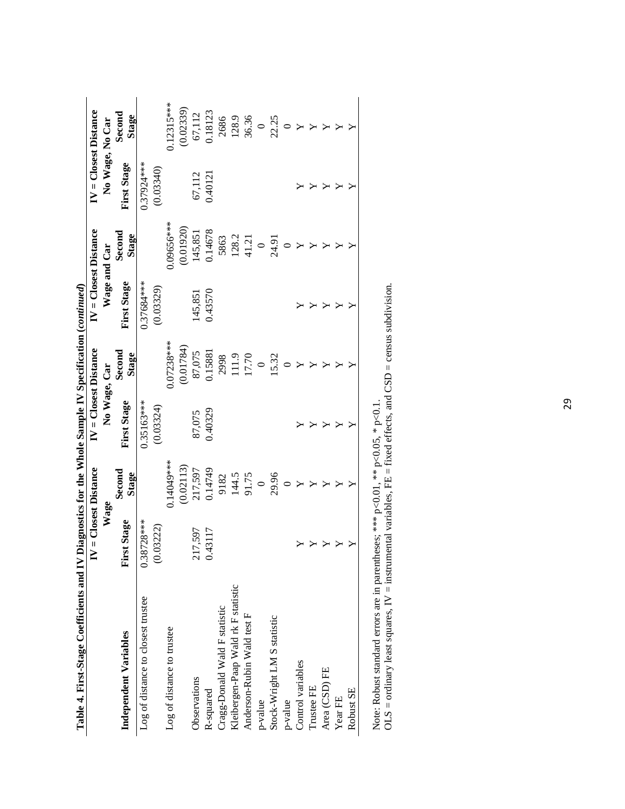| Table 4. First-Stage Coefficients and IV Diagnostics for the Whole Sample IV Specification (continued) |                               |                 |                        |                 |                    |                          |                          |                 |
|--------------------------------------------------------------------------------------------------------|-------------------------------|-----------------|------------------------|-----------------|--------------------|--------------------------|--------------------------|-----------------|
|                                                                                                        | $IV = \text{Closed Distance}$ |                 | $IV = Closed Distance$ |                 |                    | $IV = C1$ osest Distance | $IV = C1$ osest Distance |                 |
|                                                                                                        | Wage                          |                 | No Wage, Car           |                 |                    | Wage and Car             | No Wage, No Car          |                 |
| Independent Variables                                                                                  | <b>First Stage</b>            | Second<br>Stage | <b>First Stage</b>     | Second<br>Stage | <b>First Stage</b> | Second<br>Stage          | <b>First Stage</b>       | Second<br>Stage |
| Log of distance to closest trustee                                                                     | $0.38728***$                  |                 | $0.35163***$           |                 | $0.37684***$       |                          | 0.37924***               |                 |
|                                                                                                        | 03222)<br>ë                   |                 | (0.03324)              |                 | (0.03329)          |                          | (0.03340)                |                 |
| Log of distance to trustee                                                                             |                               | 14049****       |                        | $0.07238***$    |                    | 1.09656***               |                          | $0.12315***$    |
|                                                                                                        |                               | (0.02113)       |                        | (0.01784)       |                    | (0.01920)                |                          | (0.02339)       |
| Observations                                                                                           | 217,597                       | 217,597         | 87,075                 | 87,075          | 145,851            | 145,851                  | 67,112                   | 67,112          |
| R-squared                                                                                              | 43117<br>$\mathcal{L}$        | 0.14749         | 0.40329                | 0.15881         | 0.43570            | 0.14678                  | 0.40121                  | 0.18123         |
| Cragg-Donald Wald F statistic                                                                          |                               | 9182            |                        | 2998            |                    | 5863                     |                          | 2686            |
| Kleibergen-Paap Wald rk F statistic                                                                    |                               | 144.5           |                        | 111.9           |                    | 128.2                    |                          | 128.9           |
| Anderson-Rubin Wald test F                                                                             |                               | 91.75           |                        | 17.70           |                    | 41.21                    |                          | 36.36           |
| p-value                                                                                                |                               | $\circ$         |                        | $\circ$         |                    | $\circ$                  |                          | $\circ$         |
| Stock-Wright LM S statistic                                                                            |                               | 29.96           |                        | 15.32           |                    | 24.91                    |                          | 22.25           |
| p-value                                                                                                |                               |                 |                        |                 |                    |                          |                          | $\circ$         |
| Control variables                                                                                      |                               |                 |                        |                 |                    |                          |                          |                 |
| Trustee FE                                                                                             |                               |                 | ⋗                      | ⋗               |                    |                          | Y                        | Y               |
| Area (CSD) FE                                                                                          |                               |                 | Y                      |                 | Υ                  | Y                        | Υ                        | χ               |
| Year FE                                                                                                |                               |                 |                        |                 |                    |                          | Υ                        |                 |
| Robust SE                                                                                              |                               |                 |                        |                 |                    |                          | ≻                        |                 |
|                                                                                                        |                               |                 |                        |                 |                    |                          |                          |                 |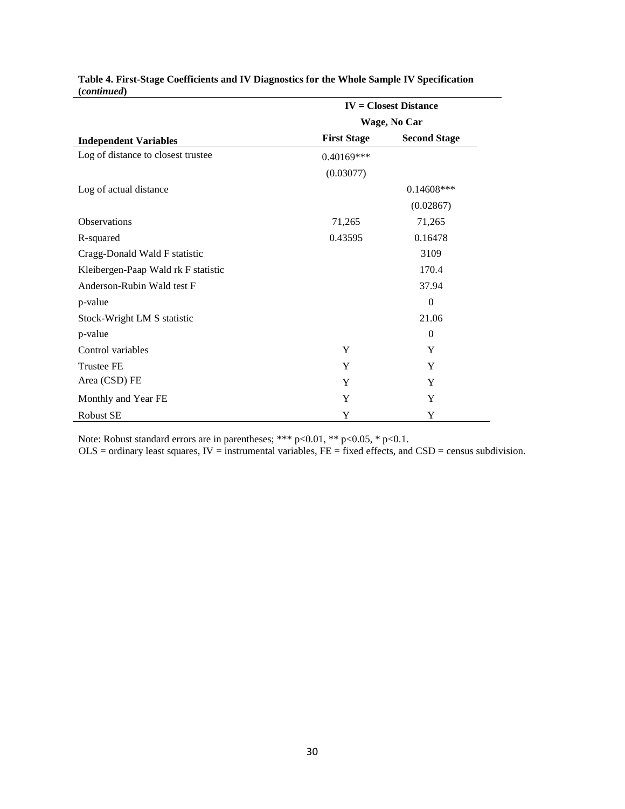|                                     |                    | $IV = Closed Distance$ |  |  |
|-------------------------------------|--------------------|------------------------|--|--|
|                                     |                    | Wage, No Car           |  |  |
| <b>Independent Variables</b>        | <b>First Stage</b> | <b>Second Stage</b>    |  |  |
| Log of distance to closest trustee  | 0.40169***         |                        |  |  |
|                                     | (0.03077)          |                        |  |  |
| Log of actual distance              |                    | $0.14608***$           |  |  |
|                                     |                    | (0.02867)              |  |  |
| <b>Observations</b>                 | 71,265             | 71,265                 |  |  |
| R-squared                           | 0.43595            | 0.16478                |  |  |
| Cragg-Donald Wald F statistic       |                    | 3109                   |  |  |
| Kleibergen-Paap Wald rk F statistic |                    | 170.4                  |  |  |
| Anderson-Rubin Wald test F          |                    | 37.94                  |  |  |
| p-value                             |                    | $\overline{0}$         |  |  |
| Stock-Wright LM S statistic         |                    | 21.06                  |  |  |
| p-value                             |                    | $\Omega$               |  |  |
| Control variables                   | Y                  | Y                      |  |  |
| <b>Trustee FE</b>                   | Y                  | Y                      |  |  |
| Area (CSD) FE                       | Y                  | Y                      |  |  |
| Monthly and Year FE                 | Y                  | Y                      |  |  |
| <b>Robust SE</b>                    | Y                  | Y                      |  |  |

# **Table 4. First-Stage Coefficients and IV Diagnostics for the Whole Sample IV Specification (***continued***)**

Note: Robust standard errors are in parentheses; \*\*\*  $p<0.01$ , \*\*  $p<0.05$ , \*  $p<0.1$ .

 $OLS =$  ordinary least squares,  $IV =$  instrumental variables,  $FE =$  fixed effects, and  $CSD =$  census subdivision.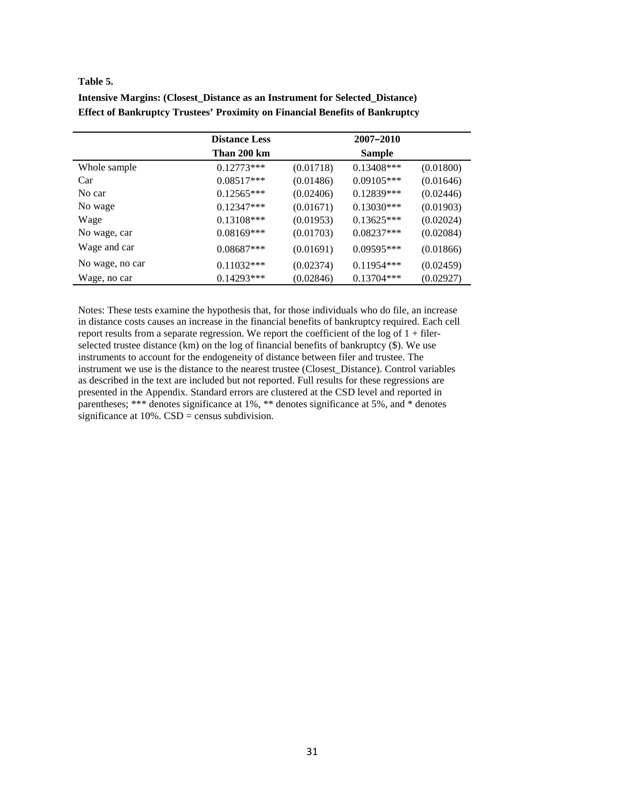#### **Table 5.**

|                 | <b>Distance Less</b> |           | 2007-2010    |           |
|-----------------|----------------------|-----------|--------------|-----------|
|                 | Than 200 km          |           | Sample       |           |
| Whole sample    | $0.12773***$         | (0.01718) | $0.13408***$ | (0.01800) |
| Car             | $0.08517***$         | (0.01486) | $0.09105***$ | (0.01646) |
| No car          | $0.12565***$         | (0.02406) | 0.12839***   | (0.02446) |
| No wage         | $0.12347***$         | (0.01671) | $0.13030***$ | (0.01903) |
| Wage            | $0.13108***$         | (0.01953) | $0.13625***$ | (0.02024) |
| No wage, car    | $0.08169***$         | (0.01703) | $0.08237***$ | (0.02084) |
| Wage and car    | $0.08687***$         | (0.01691) | $0.09595***$ | (0.01866) |
| No wage, no car | $0.11032***$         | (0.02374) | $0.11954***$ | (0.02459) |
| Wage, no car    | $0.14293***$         | (0.02846) | $0.13704***$ | (0.02927) |

**Intensive Margins: (Closest\_Distance as an Instrument for Selected\_Distance) Effect of Bankruptcy Trustees' Proximity on Financial Benefits of Bankruptcy**

Notes: These tests examine the hypothesis that, for those individuals who do file, an increase in distance costs causes an increase in the financial benefits of bankruptcy required. Each cell report results from a separate regression. We report the coefficient of the  $log$  of  $1 +$  filerselected trustee distance (km) on the log of financial benefits of bankruptcy (\$). We use instruments to account for the endogeneity of distance between filer and trustee. The instrument we use is the distance to the nearest trustee (Closest\_Distance). Control variables as described in the text are included but not reported. Full results for these regressions are presented in the Appendix. Standard errors are clustered at the CSD level and reported in parentheses; \*\*\* denotes significance at 1%, \*\* denotes significance at 5%, and \* denotes significance at  $10\%$ . CSD = census subdivision.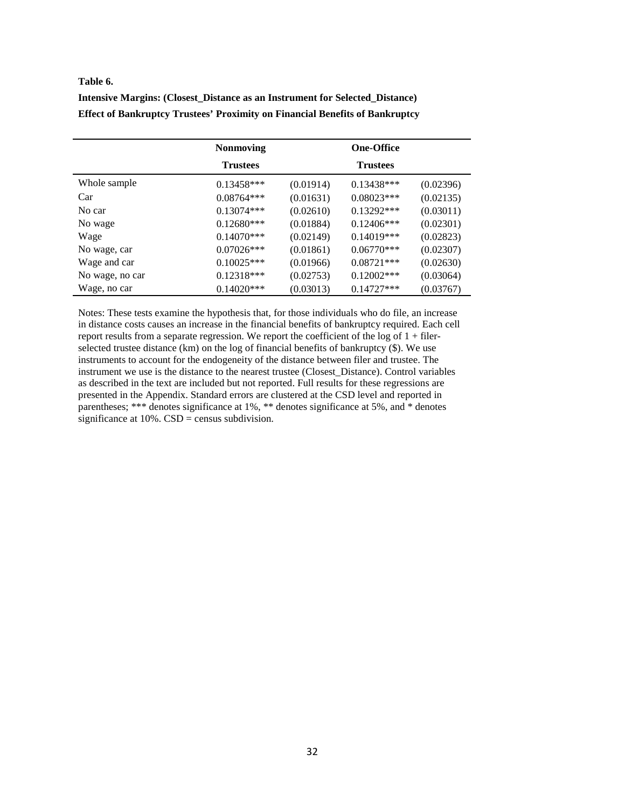#### **Table 6.**

| Intensive Margins: (Closest Distance as an Instrument for Selected Distance)        |  |  |
|-------------------------------------------------------------------------------------|--|--|
| <b>Effect of Bankruptcy Trustees' Proximity on Financial Benefits of Bankruptcy</b> |  |  |

|                 | <b>Nonmoving</b> |           | <b>One-Office</b> |           |
|-----------------|------------------|-----------|-------------------|-----------|
|                 | <b>Trustees</b>  |           | <b>Trustees</b>   |           |
| Whole sample    | $0.13458***$     | (0.01914) | $0.13438***$      | (0.02396) |
| Car             | $0.08764***$     | (0.01631) | $0.08023***$      | (0.02135) |
| No car          | $0.13074***$     | (0.02610) | $0.13292***$      | (0.03011) |
| No wage         | $0.12680***$     | (0.01884) | $0.12406***$      | (0.02301) |
| Wage            | $0.14070***$     | (0.02149) | $0.14019***$      | (0.02823) |
| No wage, car    | $0.07026***$     | (0.01861) | $0.06770***$      | (0.02307) |
| Wage and car    | $0.10025***$     | (0.01966) | $0.08721***$      | (0.02630) |
| No wage, no car | $0.12318***$     | (0.02753) | $0.12002***$      | (0.03064) |
| Wage, no car    | $0.14020***$     | (0.03013) | $0.14727***$      | (0.03767) |

Notes: These tests examine the hypothesis that, for those individuals who do file, an increase in distance costs causes an increase in the financial benefits of bankruptcy required. Each cell report results from a separate regression. We report the coefficient of the log of  $1 +$  filerselected trustee distance (km) on the log of financial benefits of bankruptcy (\$). We use instruments to account for the endogeneity of the distance between filer and trustee. The instrument we use is the distance to the nearest trustee (Closest\_Distance). Control variables as described in the text are included but not reported. Full results for these regressions are presented in the Appendix. Standard errors are clustered at the CSD level and reported in parentheses; \*\*\* denotes significance at 1%, \*\* denotes significance at 5%, and  $*$  denotes significance at  $10\%$ . CSD = census subdivision.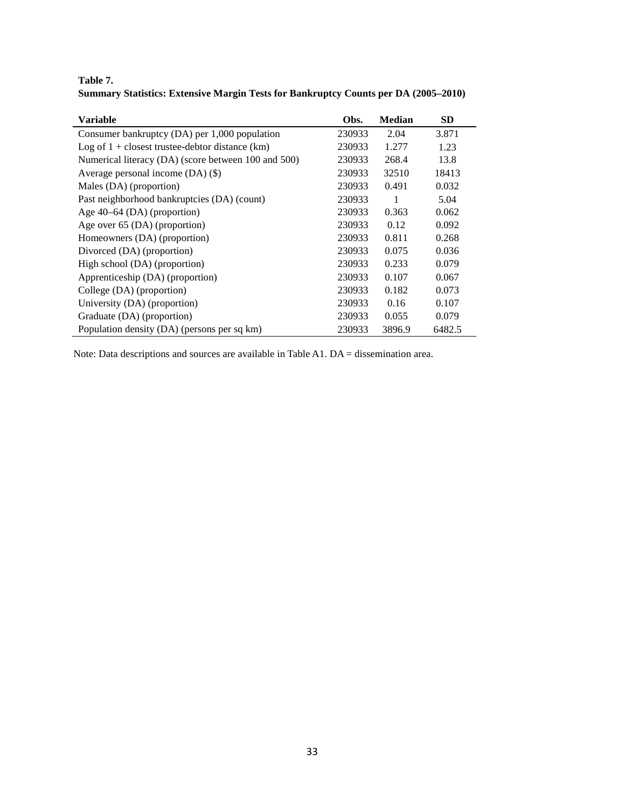**Table 7. Summary Statistics: Extensive Margin Tests for Bankruptcy Counts per DA (2005–2010)**

| <b>Variable</b>                                     | Obs.   | <b>Median</b> | <b>SD</b> |
|-----------------------------------------------------|--------|---------------|-----------|
| Consumer bankruptcy $(DA)$ per 1,000 population     | 230933 | 2.04          | 3.871     |
| Log of $1 +$ closest trustee-debtor distance (km)   | 230933 | 1.277         | 1.23      |
| Numerical literacy (DA) (score between 100 and 500) | 230933 | 268.4         | 13.8      |
| Average personal income $(DA)(\$)$                  | 230933 | 32510         | 18413     |
| Males (DA) (proportion)                             | 230933 | 0.491         | 0.032     |
| Past neighborhood bankruptcies (DA) (count)         | 230933 | 1             | 5.04      |
| Age $40-64$ (DA) (proportion)                       | 230933 | 0.363         | 0.062     |
| Age over 65 (DA) (proportion)                       | 230933 | 0.12          | 0.092     |
| Homeowners (DA) (proportion)                        | 230933 | 0.811         | 0.268     |
| Divorced (DA) (proportion)                          | 230933 | 0.075         | 0.036     |
| High school (DA) (proportion)                       | 230933 | 0.233         | 0.079     |
| Apprenticeship (DA) (proportion)                    | 230933 | 0.107         | 0.067     |
| College (DA) (proportion)                           | 230933 | 0.182         | 0.073     |
| University (DA) (proportion)                        | 230933 | 0.16          | 0.107     |
| Graduate (DA) (proportion)                          | 230933 | 0.055         | 0.079     |
| Population density (DA) (persons per sq km)         | 230933 | 3896.9        | 6482.5    |

Note: Data descriptions and sources are available in Table A1. DA = dissemination area.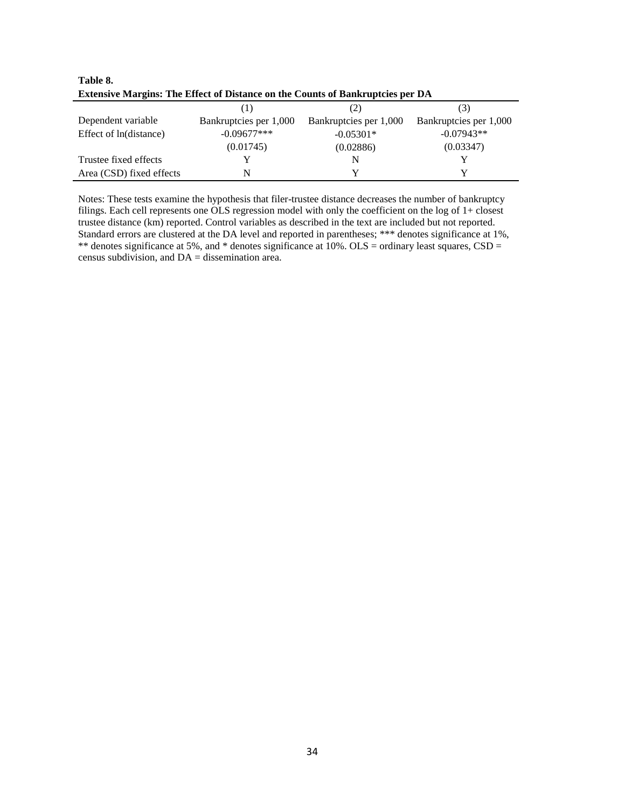| <b>Extensive Margins: The Effect of Distance on the Counts of Bankruptcies per DA</b> |                        |                        |                        |  |  |  |
|---------------------------------------------------------------------------------------|------------------------|------------------------|------------------------|--|--|--|
|                                                                                       |                        | $\angle$               | (3)                    |  |  |  |
| Dependent variable                                                                    | Bankruptcies per 1,000 | Bankruptcies per 1,000 | Bankruptcies per 1,000 |  |  |  |
| Effect of ln(distance)                                                                | $-0.09677***$          | $-0.05301*$            | $-0.07943**$           |  |  |  |
|                                                                                       | (0.01745)              | (0.02886)              | (0.03347)              |  |  |  |
| Trustee fixed effects                                                                 |                        | N                      |                        |  |  |  |
| Area (CSD) fixed effects                                                              |                        |                        |                        |  |  |  |

**Table 8. Extensive Margins: The Effect of Distance on the Counts of Bankruptcies per DA**

Notes: These tests examine the hypothesis that filer-trustee distance decreases the number of bankruptcy filings. Each cell represents one OLS regression model with only the coefficient on the log of 1+ closest trustee distance (km) reported. Control variables as described in the text are included but not reported. Standard errors are clustered at the DA level and reported in parentheses; \*\*\* denotes significance at 1%, \*\* denotes significance at 5%, and \* denotes significance at 10%. OLS = ordinary least squares, CSD = census subdivision, and DA = dissemination area.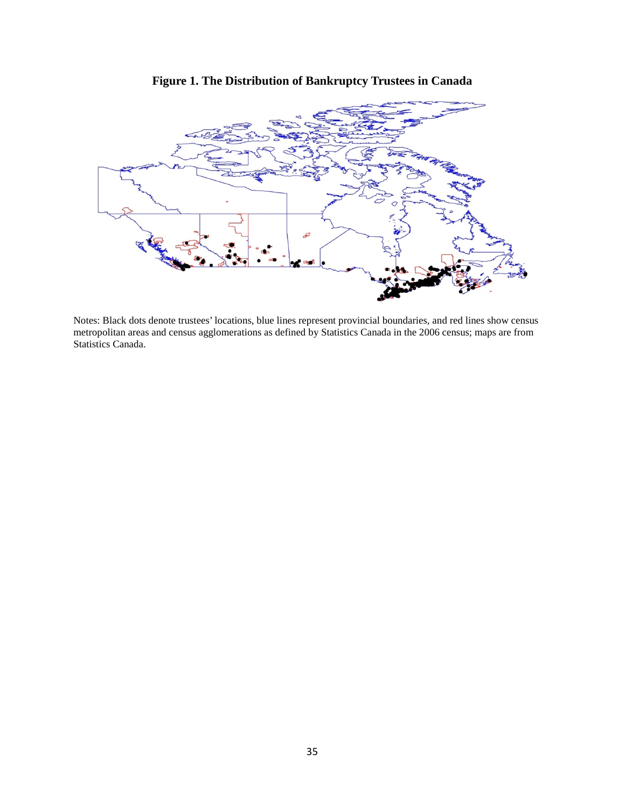

**Figure 1. The Distribution of Bankruptcy Trustees in Canada**

Notes: Black dots denote trustees' locations, blue lines represent provincial boundaries, and red lines show census metropolitan areas and census agglomerations as defined by Statistics Canada in the 2006 census; maps are from Statistics Canada.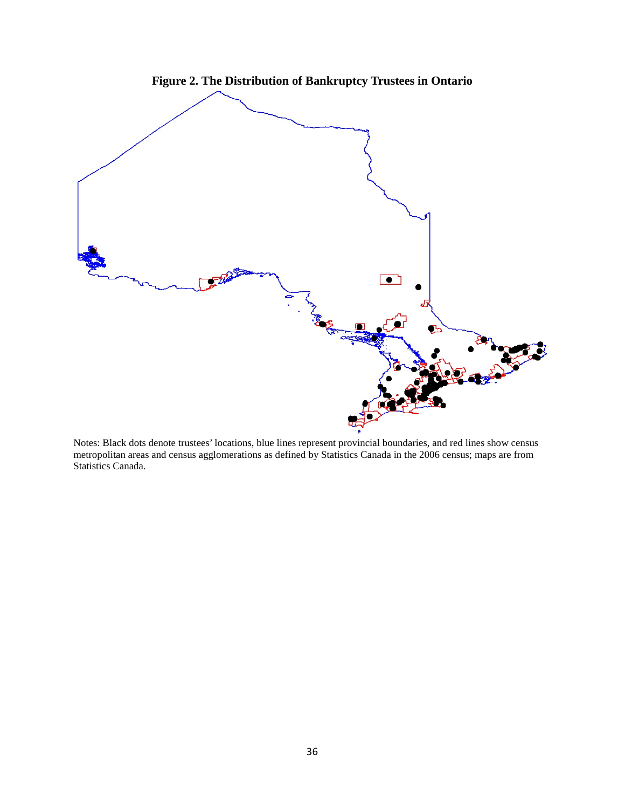

Notes: Black dots denote trustees' locations, blue lines represent provincial boundaries, and red lines show census metropolitan areas and census agglomerations as defined by Statistics Canada in the 2006 census; maps are from Statistics Canada.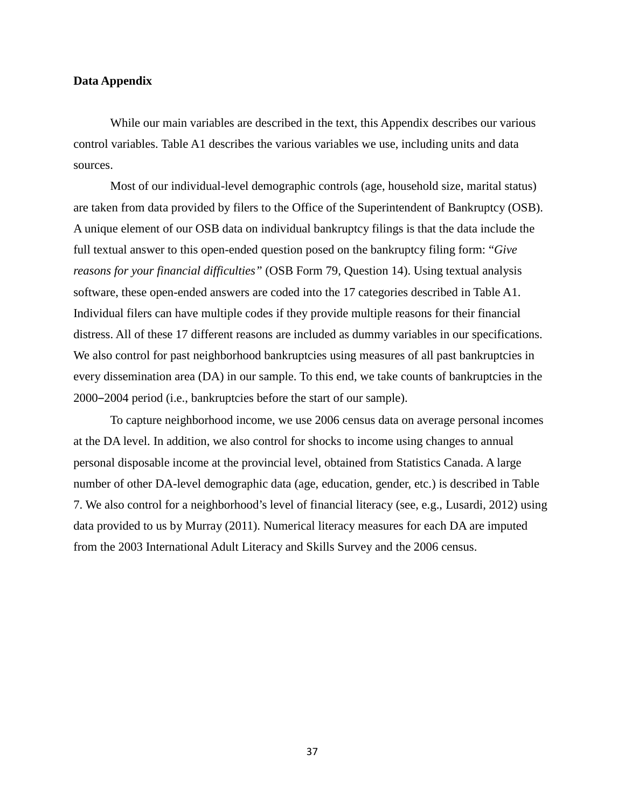# **Data Appendix**

While our main variables are described in the text, this Appendix describes our various control variables. Table A1 describes the various variables we use, including units and data sources.

Most of our individual-level demographic controls (age, household size, marital status) are taken from data provided by filers to the Office of the Superintendent of Bankruptcy (OSB). A unique element of our OSB data on individual bankruptcy filings is that the data include the full textual answer to this open-ended question posed on the bankruptcy filing form: "*Give reasons for your financial difficulties"* (OSB Form 79, Question 14). Using textual analysis software, these open-ended answers are coded into the 17 categories described in Table A1. Individual filers can have multiple codes if they provide multiple reasons for their financial distress. All of these 17 different reasons are included as dummy variables in our specifications. We also control for past neighborhood bankruptcies using measures of all past bankruptcies in every dissemination area (DA) in our sample. To this end, we take counts of bankruptcies in the 2000‒2004 period (i.e., bankruptcies before the start of our sample).

To capture neighborhood income, we use 2006 census data on average personal incomes at the DA level. In addition, we also control for shocks to income using changes to annual personal disposable income at the provincial level, obtained from Statistics Canada. A large number of other DA-level demographic data (age, education, gender, etc.) is described in Table 7. We also control for a neighborhood's level of financial literacy (see, e.g., Lusardi, 2012) using data provided to us by Murray (2011). Numerical literacy measures for each DA are imputed from the 2003 International Adult Literacy and Skills Survey and the 2006 census.